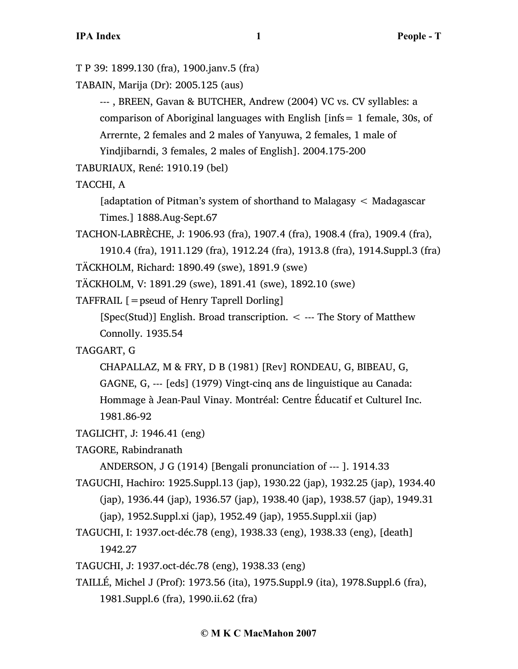```
T P 39: 1899.130 (fra), 1900.janv.5 (fra)
```
TABAIN, Marija (Dr): 2005.125 (aus)

--- , BREEN, Gavan & BUTCHER, Andrew (2004) VC vs. CV syllables: a comparison of Aboriginal languages with English [infs= 1 female, 30s, of Arrernte, 2 females and 2 males of Yanyuwa, 2 females, 1 male of

Yindjibarndi, 3 females, 2 males of English]. 2004.175-200

TABURIAUX, René: 1910.19 (bel)

TACCHI, A

[adaptation of Pitman's system of shorthand to Malagasy < Madagascar Times.] 1888.Aug-Sept.67

```
TACHON-LABRÈCHE, J: 1906.93 (fra), 1907.4 (fra), 1908.4 (fra), 1909.4 (fra), 
1910.4 (fra), 1911.129 (fra), 1912.24 (fra), 1913.8 (fra), 1914.Suppl.3 (fra)
```

```
TÄCKHOLM, Richard: 1890.49 (swe), 1891.9 (swe)
```

```
TÄCKHOLM, V: 1891.29 (swe), 1891.41 (swe), 1892.10 (swe)
```

```
TAFFRAIL [=pseud of Henry Taprell Dorling]
```
[Spec(Stud)] English. Broad transcription.  $\lt$  --- The Story of Matthew Connolly. 1935.54

# TAGGART, G

CHAPALLAZ, M & FRY, D B (1981) [Rev] RONDEAU, G, BIBEAU, G, GAGNE, G, --- [eds] (1979) Vingt-cinq ans de linguistique au Canada: Hommage à Jean-Paul Vinay. Montréal: Centre Éducatif et Culturel Inc. 1981.86-92

```
TAGLICHT, J: 1946.41 (eng)
```

```
TAGORE, Rabindranath
```
ANDERSON, J G (1914) [Bengali pronunciation of --- ]. 1914.33

- TAGUCHI, Hachiro: 1925.Suppl.13 (jap), 1930.22 (jap), 1932.25 (jap), 1934.40 (jap), 1936.44 (jap), 1936.57 (jap), 1938.40 (jap), 1938.57 (jap), 1949.31 (jap), 1952.Suppl.xi (jap), 1952.49 (jap), 1955.Suppl.xii (jap)
- TAGUCHI, I: 1937.oct-déc.78 (eng), 1938.33 (eng), 1938.33 (eng), [death] 1942.27
- TAGUCHI, J: 1937.oct-déc.78 (eng), 1938.33 (eng)

TAILLÉ, Michel J (Prof): 1973.56 (ita), 1975.Suppl.9 (ita), 1978.Suppl.6 (fra), 1981.Suppl.6 (fra), 1990.ii.62 (fra)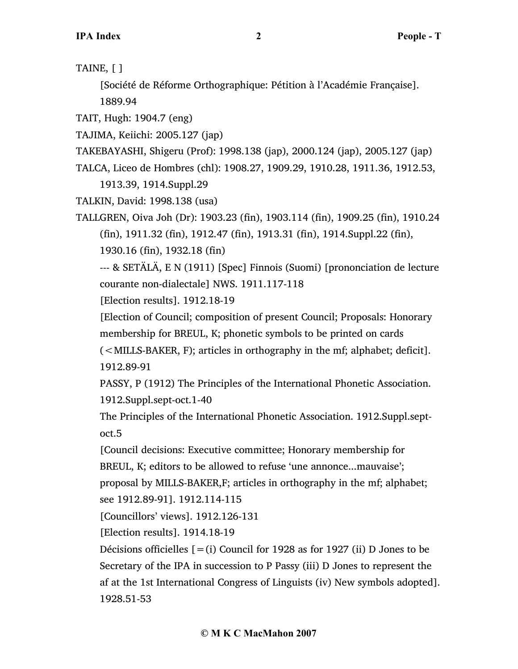TAINE, [ ]

[Société de Réforme Orthographique: Pétition à l'Académie Française]. 1889.94

TAIT, Hugh: 1904.7 (eng)

TAJIMA, Keiichi: 2005.127 (jap)

TAKEBAYASHI, Shigeru (Prof): 1998.138 (jap), 2000.124 (jap), 2005.127 (jap)

TALCA, Liceo de Hombres (chl): 1908.27, 1909.29, 1910.28, 1911.36, 1912.53,

1913.39, 1914.Suppl.29

TALKIN, David: 1998.138 (usa)

TALLGREN, Oiva Joh (Dr): 1903.23 (fin), 1903.114 (fin), 1909.25 (fin), 1910.24 (fin), 1911.32 (fin), 1912.47 (fin), 1913.31 (fin), 1914.Suppl.22 (fin),

1930.16 (fin), 1932.18 (fin)

--- & SETÄLÄ, E N (1911) [Spec] Finnois (Suomi) [prononciation de lecture courante non-dialectale] NWS. 1911.117-118

[Election results]. 1912.18-19

[Election of Council; composition of present Council; Proposals: Honorary membership for BREUL, K; phonetic symbols to be printed on cards

(<MILLS-BAKER, F); articles in orthography in the mf; alphabet; deficit]. 1912.89-91

PASSY, P (1912) The Principles of the International Phonetic Association. 1912.Suppl.sept-oct.1-40

The Principles of the International Phonetic Association. 1912.Suppl.septoct.5

[Council decisions: Executive committee; Honorary membership for BREUL, K; editors to be allowed to refuse 'une annonce...mauvaise'; proposal by MILLS-BAKER,F; articles in orthography in the mf; alphabet; see 1912.89-91]. 1912.114-115

[Councillors' views]. 1912.126-131

[Election results]. 1914.18-19

Décisions officielles  $[=(i)$  Council for 1928 as for 1927 (ii) D Jones to be Secretary of the IPA in succession to P Passy (iii) D Jones to represent the af at the 1st International Congress of Linguists (iv) New symbols adopted]. 1928.51-53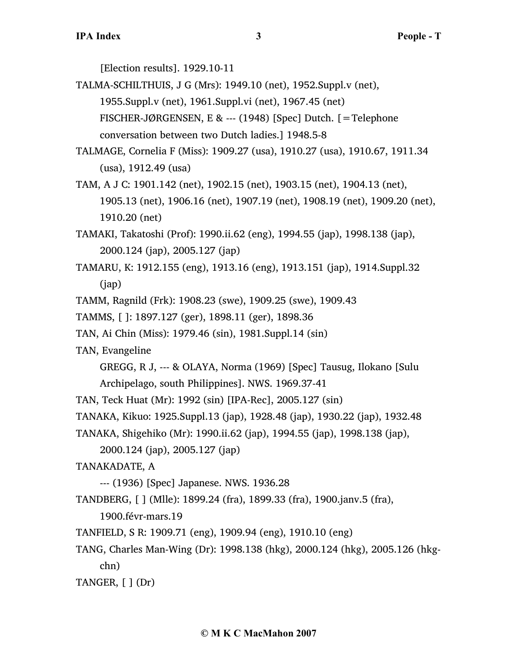[Election results]. 1929.10-11

TALMA-SCHILTHUIS, J G (Mrs): 1949.10 (net), 1952.Suppl.v (net), 1955.Suppl.v (net), 1961.Suppl.vi (net), 1967.45 (net) FISCHER-JØRGENSEN, E & --- (1948) [Spec] Dutch. [=Telephone conversation between two Dutch ladies.] 1948.5-8

- TALMAGE, Cornelia F (Miss): 1909.27 (usa), 1910.27 (usa), 1910.67, 1911.34 (usa), 1912.49 (usa)
- TAM, A J C: 1901.142 (net), 1902.15 (net), 1903.15 (net), 1904.13 (net), 1905.13 (net), 1906.16 (net), 1907.19 (net), 1908.19 (net), 1909.20 (net), 1910.20 (net)
- TAMAKI, Takatoshi (Prof): 1990.ii.62 (eng), 1994.55 (jap), 1998.138 (jap), 2000.124 (jap), 2005.127 (jap)
- TAMARU, K: 1912.155 (eng), 1913.16 (eng), 1913.151 (jap), 1914.Suppl.32 (jap)
- TAMM, Ragnild (Frk): 1908.23 (swe), 1909.25 (swe), 1909.43
- TAMMS, [ ]: 1897.127 (ger), 1898.11 (ger), 1898.36
- TAN, Ai Chin (Miss): 1979.46 (sin), 1981.Suppl.14 (sin)
- TAN, Evangeline
	- GREGG, R J, --- & OLAYA, Norma (1969) [Spec] Tausug, Ilokano [Sulu Archipelago, south Philippines]. NWS. 1969.37-41
- TAN, Teck Huat (Mr): 1992 (sin) [IPA-Rec], 2005.127 (sin)
- TANAKA, Kikuo: 1925.Suppl.13 (jap), 1928.48 (jap), 1930.22 (jap), 1932.48
- TANAKA, Shigehiko (Mr): 1990.ii.62 (jap), 1994.55 (jap), 1998.138 (jap),
	- 2000.124 (jap), 2005.127 (jap)
- TANAKADATE, A
	- --- (1936) [Spec] Japanese. NWS. 1936.28
- TANDBERG, [ ] (Mlle): 1899.24 (fra), 1899.33 (fra), 1900.janv.5 (fra),
	- 1900.févr-mars.19
- TANFIELD, S R: 1909.71 (eng), 1909.94 (eng), 1910.10 (eng)
- TANG, Charles Man-Wing (Dr): 1998.138 (hkg), 2000.124 (hkg), 2005.126 (hkgchn)

TANGER,  $\lceil \cdot \rceil$  (Dr)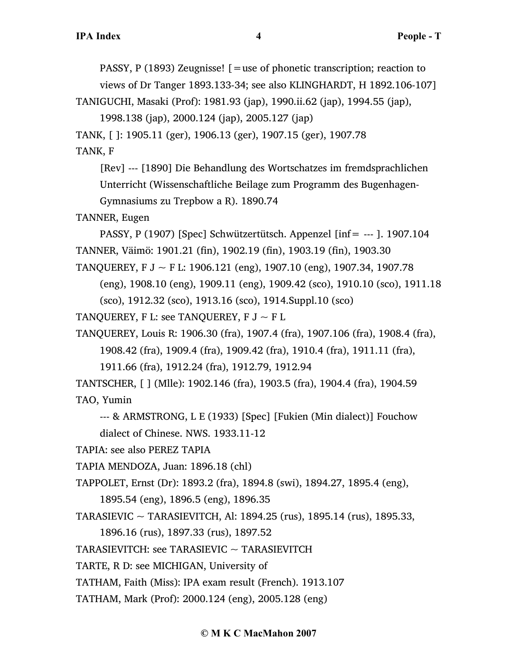PASSY, P (1893) Zeugnisse! [=use of phonetic transcription; reaction to

views of Dr Tanger 1893.133-34; see also KLINGHARDT, H 1892.106-107]

TANIGUCHI, Masaki (Prof): 1981.93 (jap), 1990.ii.62 (jap), 1994.55 (jap),

1998.138 (jap), 2000.124 (jap), 2005.127 (jap)

TANK, [ ]: 1905.11 (ger), 1906.13 (ger), 1907.15 (ger), 1907.78

TANK, F

[Rev] --- [1890] Die Behandlung des Wortschatzes im fremdsprachlichen Unterricht (Wissenschaftliche Beilage zum Programm des Bugenhagen-Gymnasiums zu Trepbow a R). 1890.74

TANNER, Eugen

PASSY, P (1907) [Spec] Schwützertütsch. Appenzel [inf= --- ]. 1907.104 TANNER, Väimö: 1901.21 (fin), 1902.19 (fin), 1903.19 (fin), 1903.30

TANQUEREY, F J  $\sim$  F L: 1906.121 (eng), 1907.10 (eng), 1907.34, 1907.78

(eng), 1908.10 (eng), 1909.11 (eng), 1909.42 (sco), 1910.10 (sco), 1911.18

(sco), 1912.32 (sco), 1913.16 (sco), 1914.Suppl.10 (sco)

TANQUEREY, F L: see TANQUEREY, F  $J \sim F L$ 

TANQUEREY, Louis R: 1906.30 (fra), 1907.4 (fra), 1907.106 (fra), 1908.4 (fra),

1908.42 (fra), 1909.4 (fra), 1909.42 (fra), 1910.4 (fra), 1911.11 (fra),

1911.66 (fra), 1912.24 (fra), 1912.79, 1912.94

TANTSCHER, [ ] (Mlle): 1902.146 (fra), 1903.5 (fra), 1904.4 (fra), 1904.59 TAO, Yumin

--- & ARMSTRONG, L E (1933) [Spec] [Fukien (Min dialect)] Fouchow dialect of Chinese. NWS. 1933.11-12

TAPIA: see also PEREZ TAPIA

TAPIA MENDOZA, Juan: 1896.18 (chl)

TAPPOLET, Ernst (Dr): 1893.2 (fra), 1894.8 (swi), 1894.27, 1895.4 (eng),

1895.54 (eng), 1896.5 (eng), 1896.35

TARASIEVIC ~ TARASIEVITCH, Al: 1894.25 (rus), 1895.14 (rus), 1895.33,

1896.16 (rus), 1897.33 (rus), 1897.52

TARASIEVITCH: see TARASIEVIC  $\sim$  TARASIEVITCH

TARTE, R D: see MICHIGAN, University of

TATHAM, Faith (Miss): IPA exam result (French). 1913.107

TATHAM, Mark (Prof): 2000.124 (eng), 2005.128 (eng)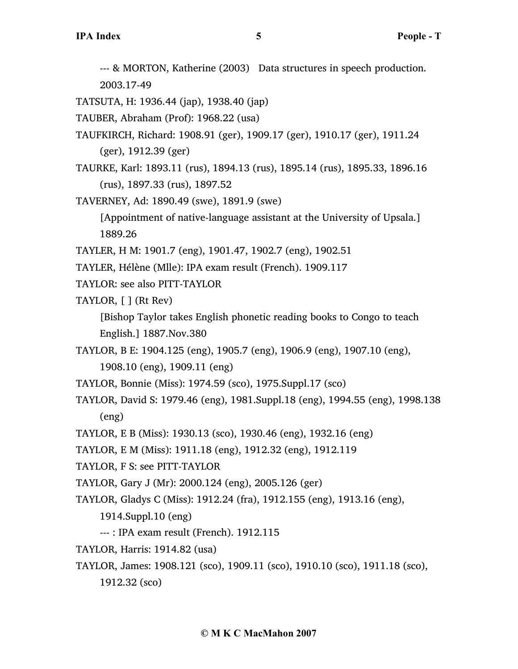--- & MORTON, Katherine (2003) Data structures in speech production. 2003.17-49

TATSUTA, H: 1936.44 (jap), 1938.40 (jap)

- TAUBER, Abraham (Prof): 1968.22 (usa)
- TAUFKIRCH, Richard: 1908.91 (ger), 1909.17 (ger), 1910.17 (ger), 1911.24 (ger), 1912.39 (ger)
- TAURKE, Karl: 1893.11 (rus), 1894.13 (rus), 1895.14 (rus), 1895.33, 1896.16 (rus), 1897.33 (rus), 1897.52
- TAVERNEY, Ad: 1890.49 (swe), 1891.9 (swe)

[Appointment of native-language assistant at the University of Upsala.] 1889.26

- TAYLER, H M: 1901.7 (eng), 1901.47, 1902.7 (eng), 1902.51
- TAYLER, Hélène (Mlle): IPA exam result (French). 1909.117
- TAYLOR: see also PITT-TAYLOR
- TAYLOR, [ ] (Rt Rev)

[Bishop Taylor takes English phonetic reading books to Congo to teach English.] 1887.Nov.380

- TAYLOR, B E: 1904.125 (eng), 1905.7 (eng), 1906.9 (eng), 1907.10 (eng), 1908.10 (eng), 1909.11 (eng)
- TAYLOR, Bonnie (Miss): 1974.59 (sco), 1975.Suppl.17 (sco)
- TAYLOR, David S: 1979.46 (eng), 1981.Suppl.18 (eng), 1994.55 (eng), 1998.138 (eng)
- TAYLOR, E B (Miss): 1930.13 (sco), 1930.46 (eng), 1932.16 (eng)
- TAYLOR, E M (Miss): 1911.18 (eng), 1912.32 (eng), 1912.119
- TAYLOR, F S: see PITT-TAYLOR
- TAYLOR, Gary J (Mr): 2000.124 (eng), 2005.126 (ger)
- TAYLOR, Gladys C (Miss): 1912.24 (fra), 1912.155 (eng), 1913.16 (eng),
	- 1914.Suppl.10 (eng)
	- --- : IPA exam result (French). 1912.115
- TAYLOR, Harris: 1914.82 (usa)
- TAYLOR, James: 1908.121 (sco), 1909.11 (sco), 1910.10 (sco), 1911.18 (sco),

1912.32 (sco)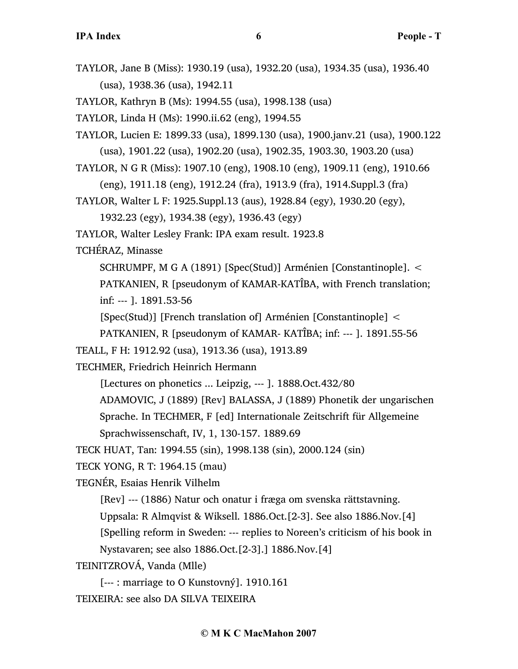TAYLOR, Jane B (Miss): 1930.19 (usa), 1932.20 (usa), 1934.35 (usa), 1936.40 (usa), 1938.36 (usa), 1942.11

TAYLOR, Kathryn B (Ms): 1994.55 (usa), 1998.138 (usa)

TAYLOR, Linda H (Ms): 1990.ii.62 (eng), 1994.55

TAYLOR, Lucien E: 1899.33 (usa), 1899.130 (usa), 1900.janv.21 (usa), 1900.122 (usa), 1901.22 (usa), 1902.20 (usa), 1902.35, 1903.30, 1903.20 (usa)

TAYLOR, N G R (Miss): 1907.10 (eng), 1908.10 (eng), 1909.11 (eng), 1910.66

(eng), 1911.18 (eng), 1912.24 (fra), 1913.9 (fra), 1914.Suppl.3 (fra)

TAYLOR, Walter L F: 1925.Suppl.13 (aus), 1928.84 (egy), 1930.20 (egy),

1932.23 (egy), 1934.38 (egy), 1936.43 (egy)

TAYLOR, Walter Lesley Frank: IPA exam result. 1923.8

TCHÉRAZ, Minasse

SCHRUMPF, M G A (1891) [Spec(Stud)] Arménien [Constantinople]. < PATKANIEN, R [pseudonym of KAMAR-KATÎBA, with French translation; inf: --- ]. 1891.53-56

[Spec(Stud)] [French translation of] Arménien [Constantinople] <

PATKANIEN, R [pseudonym of KAMAR- KATÎBA; inf: --- ]. 1891.55-56

TEALL, F H: 1912.92 (usa), 1913.36 (usa), 1913.89

TECHMER, Friedrich Heinrich Hermann

[Lectures on phonetics ... Leipzig, --- ]. 1888.Oct.432/80

ADAMOVIC, J (1889) [Rev] BALASSA, J (1889) Phonetik der ungarischen

Sprache. In TECHMER, F [ed] Internationale Zeitschrift für Allgemeine

Sprachwissenschaft, IV, 1, 130-157. 1889.69

TECK HUAT, Tan: 1994.55 (sin), 1998.138 (sin), 2000.124 (sin)

TECK YONG, R T: 1964.15 (mau)

TEGNÉR, Esaias Henrik Vilhelm

[Rev] --- (1886) Natur och onatur i fræga om svenska rättstavning.

Uppsala: R Almqvist & Wiksell. 1886.Oct.[2-3]. See also 1886.Nov.[4]

[Spelling reform in Sweden: --- replies to Noreen's criticism of his book in

Nystavaren; see also 1886.Oct.[2-3].] 1886.Nov.[4]

TEINITZROVÁ, Vanda (Mlle)

[--- : marriage to O Kunstovný]. 1910.161

TEIXEIRA: see also DA SILVA TEIXEIRA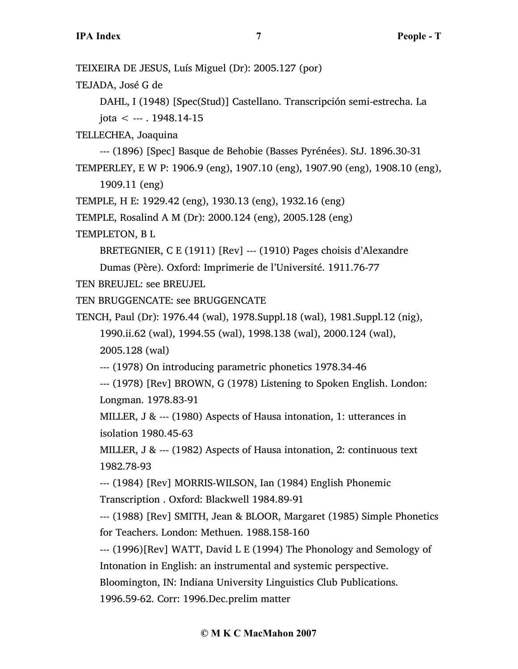TEIXEIRA DE JESUS, Luís Miguel (Dr): 2005.127 (por)

TEJADA, José G de

DAHL, I (1948) [Spec(Stud)] Castellano. Transcripción semi-estrecha. La  $i$ ota  $\leq$  --- . 1948.14-15

TELLECHEA, Joaquina

--- (1896) [Spec] Basque de Behobie (Basses Pyrénées). StJ. 1896.30-31 TEMPERLEY, E W P: 1906.9 (eng), 1907.10 (eng), 1907.90 (eng), 1908.10 (eng),

1909.11 (eng)

TEMPLE, H E: 1929.42 (eng), 1930.13 (eng), 1932.16 (eng)

TEMPLE, Rosalind A M (Dr): 2000.124 (eng), 2005.128 (eng)

TEMPLETON, B L

BRETEGNIER, C E (1911) [Rev] --- (1910) Pages choisis d'Alexandre

Dumas (Père). Oxford: Imprimerie de l'Université. 1911.76-77

TEN BREUJEL: see BREUJEL

TEN BRUGGENCATE: see BRUGGENCATE

TENCH, Paul (Dr): 1976.44 (wal), 1978.Suppl.18 (wal), 1981.Suppl.12 (nig), 1990.ii.62 (wal), 1994.55 (wal), 1998.138 (wal), 2000.124 (wal), 2005.128 (wal)

--- (1978) On introducing parametric phonetics 1978.34-46

--- (1978) [Rev] BROWN, G (1978) Listening to Spoken English. London: Longman. 1978.83-91

MILLER, J & --- (1980) Aspects of Hausa intonation, 1: utterances in isolation 1980.45-63

MILLER, J & --- (1982) Aspects of Hausa intonation, 2: continuous text 1982.78-93

--- (1984) [Rev] MORRIS-WILSON, Ian (1984) English Phonemic Transcription . Oxford: Blackwell 1984.89-91

--- (1988) [Rev] SMITH, Jean & BLOOR, Margaret (1985) Simple Phonetics for Teachers. London: Methuen. 1988.158-160

--- (1996)[Rev] WATT, David L E (1994) The Phonology and Semology of Intonation in English: an instrumental and systemic perspective.

Bloomington, IN: Indiana University Linguistics Club Publications.

1996.59-62. Corr: 1996.Dec.prelim matter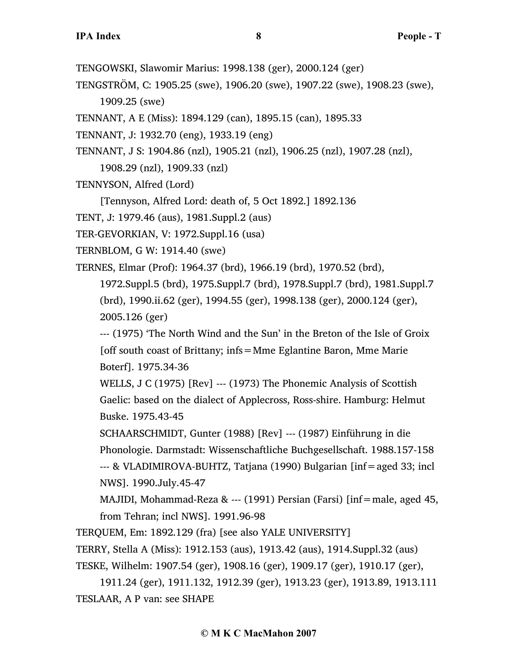- TENGOWSKI, Slawomir Marius: 1998.138 (ger), 2000.124 (ger)
- TENGSTRÖM, C: 1905.25 (swe), 1906.20 (swe), 1907.22 (swe), 1908.23 (swe), 1909.25 (swe)
- TENNANT, A E (Miss): 1894.129 (can), 1895.15 (can), 1895.33
- TENNANT, J: 1932.70 (eng), 1933.19 (eng)
- TENNANT, J S: 1904.86 (nzl), 1905.21 (nzl), 1906.25 (nzl), 1907.28 (nzl),
	- 1908.29 (nzl), 1909.33 (nzl)
- TENNYSON, Alfred (Lord)

[Tennyson, Alfred Lord: death of, 5 Oct 1892.] 1892.136

TENT, J: 1979.46 (aus), 1981.Suppl.2 (aus)

- TER-GEVORKIAN, V: 1972.Suppl.16 (usa)
- TERNBLOM, G W: 1914.40 (swe)

TERNES, Elmar (Prof): 1964.37 (brd), 1966.19 (brd), 1970.52 (brd),

1972.Suppl.5 (brd), 1975.Suppl.7 (brd), 1978.Suppl.7 (brd), 1981.Suppl.7 (brd), 1990.ii.62 (ger), 1994.55 (ger), 1998.138 (ger), 2000.124 (ger), 2005.126 (ger)

--- (1975) 'The North Wind and the Sun' in the Breton of the Isle of Groix [off south coast of Brittany; infs=Mme Eglantine Baron, Mme Marie Boterf]. 1975.34-36

WELLS, J C (1975) [Rev] --- (1973) The Phonemic Analysis of Scottish Gaelic: based on the dialect of Applecross, Ross-shire. Hamburg: Helmut Buske. 1975.43-45

SCHAARSCHMIDT, Gunter (1988) [Rev] --- (1987) Einführung in die Phonologie. Darmstadt: Wissenschaftliche Buchgesellschaft. 1988.157-158 --- & VLADIMIROVA-BUHTZ, Tatjana (1990) Bulgarian [inf=aged 33; incl NWS]. 1990.July.45-47

MAJIDI, Mohammad-Reza & --- (1991) Persian (Farsi)  $\int \inf =$ male, aged 45, from Tehran; incl NWS]. 1991.96-98

TERQUEM, Em: 1892.129 (fra) [see also YALE UNIVERSITY]

TERRY, Stella A (Miss): 1912.153 (aus), 1913.42 (aus), 1914.Suppl.32 (aus)

TESKE, Wilhelm: 1907.54 (ger), 1908.16 (ger), 1909.17 (ger), 1910.17 (ger),

1911.24 (ger), 1911.132, 1912.39 (ger), 1913.23 (ger), 1913.89, 1913.111 TESLAAR, A P van: see SHAPE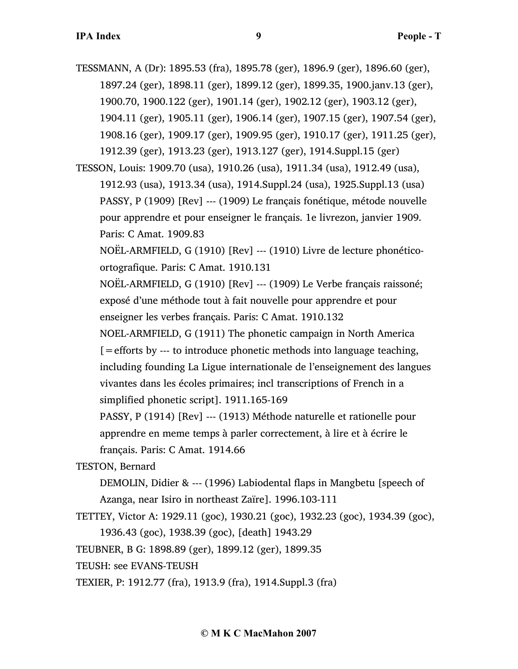TESSMANN, A (Dr): 1895.53 (fra), 1895.78 (ger), 1896.9 (ger), 1896.60 (ger), 1897.24 (ger), 1898.11 (ger), 1899.12 (ger), 1899.35, 1900.janv.13 (ger), 1900.70, 1900.122 (ger), 1901.14 (ger), 1902.12 (ger), 1903.12 (ger), 1904.11 (ger), 1905.11 (ger), 1906.14 (ger), 1907.15 (ger), 1907.54 (ger), 1908.16 (ger), 1909.17 (ger), 1909.95 (ger), 1910.17 (ger), 1911.25 (ger), 1912.39 (ger), 1913.23 (ger), 1913.127 (ger), 1914.Suppl.15 (ger)

TESSON, Louis: 1909.70 (usa), 1910.26 (usa), 1911.34 (usa), 1912.49 (usa), 1912.93 (usa), 1913.34 (usa), 1914.Suppl.24 (usa), 1925.Suppl.13 (usa) PASSY, P (1909) [Rev] --- (1909) Le français fonétique, métode nouvelle pour apprendre et pour enseigner le français. 1e livrezon, janvier 1909. Paris: C Amat. 1909.83

NOËL-ARMFIELD, G (1910) [Rev] --- (1910) Livre de lecture phonéticoortografique. Paris: C Amat. 1910.131

NOËL-ARMFIELD, G (1910) [Rev] --- (1909) Le Verbe français raissoné; exposé d'une méthode tout à fait nouvelle pour apprendre et pour enseigner les verbes français. Paris: C Amat. 1910.132

NOEL-ARMFIELD, G (1911) The phonetic campaign in North America [=efforts by --- to introduce phonetic methods into language teaching, including founding La Ligue internationale de l'enseignement des langues vivantes dans les écoles primaires; incl transcriptions of French in a simplified phonetic script]. 1911.165-169

PASSY, P (1914) [Rev] --- (1913) Méthode naturelle et rationelle pour apprendre en meme temps à parler correctement, à lire et à écrire le français. Paris: C Amat. 1914.66

TESTON, Bernard

DEMOLIN, Didier & --- (1996) Labiodental flaps in Mangbetu [speech of Azanga, near Isiro in northeast Zaïre]. 1996.103-111

TETTEY, Victor A: 1929.11 (goc), 1930.21 (goc), 1932.23 (goc), 1934.39 (goc),

1936.43 (goc), 1938.39 (goc), [death] 1943.29

TEUBNER, B G: 1898.89 (ger), 1899.12 (ger), 1899.35

TEUSH: see EVANS-TEUSH

TEXIER, P: 1912.77 (fra), 1913.9 (fra), 1914.Suppl.3 (fra)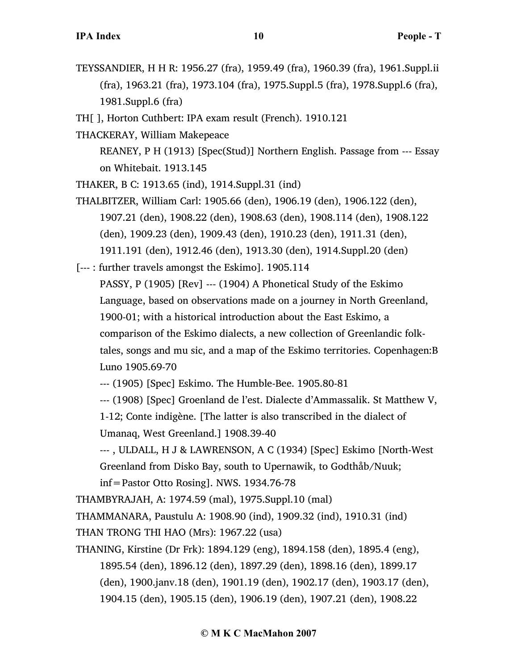- TEYSSANDIER, H H R: 1956.27 (fra), 1959.49 (fra), 1960.39 (fra), 1961.Suppl.ii (fra), 1963.21 (fra), 1973.104 (fra), 1975.Suppl.5 (fra), 1978.Suppl.6 (fra), 1981.Suppl.6 (fra)
- TH[ ], Horton Cuthbert: IPA exam result (French). 1910.121
- THACKERAY, William Makepeace

REANEY, P H (1913) [Spec(Stud)] Northern English. Passage from --- Essay on Whitebait. 1913.145

THAKER, B C: 1913.65 (ind), 1914.Suppl.31 (ind)

THALBITZER, William Carl: 1905.66 (den), 1906.19 (den), 1906.122 (den), 1907.21 (den), 1908.22 (den), 1908.63 (den), 1908.114 (den), 1908.122 (den), 1909.23 (den), 1909.43 (den), 1910.23 (den), 1911.31 (den), 1911.191 (den), 1912.46 (den), 1913.30 (den), 1914.Suppl.20 (den)

[--- : further travels amongst the Eskimo]. 1905.114

PASSY, P (1905) [Rev] --- (1904) A Phonetical Study of the Eskimo Language, based on observations made on a journey in North Greenland, 1900-01; with a historical introduction about the East Eskimo, a comparison of the Eskimo dialects, a new collection of Greenlandic folktales, songs and mu sic, and a map of the Eskimo territories. Copenhagen:B Luno 1905.69-70

--- (1905) [Spec] Eskimo. The Humble-Bee. 1905.80-81

--- (1908) [Spec] Groenland de l'est. Dialecte d'Ammassalik. St Matthew V, 1-12; Conte indigène. [The latter is also transcribed in the dialect of

Umanaq, West Greenland.] 1908.39-40

--- , ULDALL, H J & LAWRENSON, A C (1934) [Spec] Eskimo [North-West Greenland from Disko Bay, south to Upernawik, to Godthåb/Nuuk; inf=Pastor Otto Rosing]. NWS. 1934.76-78

THAMBYRAJAH, A: 1974.59 (mal), 1975.Suppl.10 (mal)

THAMMANARA, Paustulu A: 1908.90 (ind), 1909.32 (ind), 1910.31 (ind)

THAN TRONG THI HAO (Mrs): 1967.22 (usa)

THANING, Kirstine (Dr Frk): 1894.129 (eng), 1894.158 (den), 1895.4 (eng), 1895.54 (den), 1896.12 (den), 1897.29 (den), 1898.16 (den), 1899.17 (den), 1900.janv.18 (den), 1901.19 (den), 1902.17 (den), 1903.17 (den), 1904.15 (den), 1905.15 (den), 1906.19 (den), 1907.21 (den), 1908.22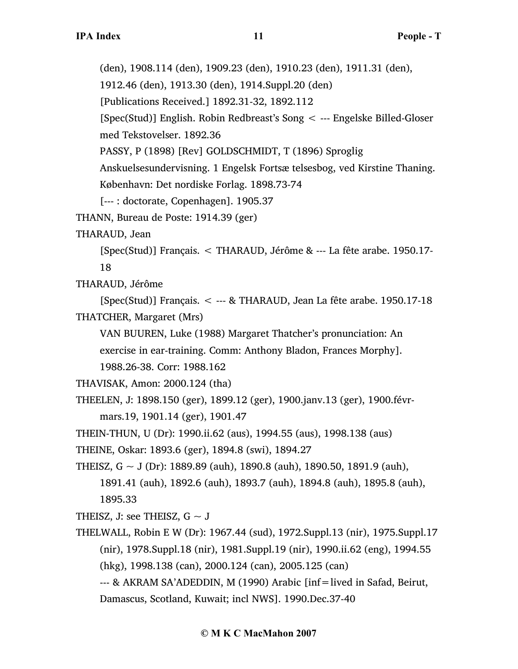[Spec(Stud)] English. Robin Redbreast's Song < --- Engelske Billed-Gloser med Tekstovelser. 1892.36 PASSY, P (1898) [Rev] GOLDSCHMIDT, T (1896) Sproglig Anskuelsesundervisning. 1 Engelsk Fortsæ telsesbog, ved Kirstine Thaning. København: Det nordiske Forlag. 1898.73-74 [--- : doctorate, Copenhagen]. 1905.37 THANN, Bureau de Poste: 1914.39 (ger) THARAUD, Jean [Spec(Stud)] Français. < THARAUD, Jérôme & --- La fête arabe. 1950.17- 18 THARAUD, Jérôme [Spec(Stud)] Français. < --- & THARAUD, Jean La fête arabe. 1950.17-18 THATCHER, Margaret (Mrs) VAN BUUREN, Luke (1988) Margaret Thatcher's pronunciation: An exercise in ear-training. Comm: Anthony Bladon, Frances Morphy]. 1988.26-38. Corr: 1988.162 THAVISAK, Amon: 2000.124 (tha) THEELEN, J: 1898.150 (ger), 1899.12 (ger), 1900.janv.13 (ger), 1900.févrmars.19, 1901.14 (ger), 1901.47 THEIN-THUN, U (Dr): 1990.ii.62 (aus), 1994.55 (aus), 1998.138 (aus) THEINE, Oskar: 1893.6 (ger), 1894.8 (swi), 1894.27 THEISZ,  $G \sim J$  (Dr): 1889.89 (auh), 1890.8 (auh), 1890.50, 1891.9 (auh), 1891.41 (auh), 1892.6 (auh), 1893.7 (auh), 1894.8 (auh), 1895.8 (auh), 1895.33 THEISZ, J: see THEISZ,  $G \sim J$ THELWALL, Robin E W (Dr): 1967.44 (sud), 1972.Suppl.13 (nir), 1975.Suppl.17 (nir), 1978.Suppl.18 (nir), 1981.Suppl.19 (nir), 1990.ii.62 (eng), 1994.55 (hkg), 1998.138 (can), 2000.124 (can), 2005.125 (can) --- & AKRAM SA'ADEDDIN, M (1990) Arabic [inf=lived in Safad, Beirut, Damascus, Scotland, Kuwait; incl NWS]. 1990.Dec.37-40

#### **© M K C MacMahon 2007**

(den), 1908.114 (den), 1909.23 (den), 1910.23 (den), 1911.31 (den),

1912.46 (den), 1913.30 (den), 1914.Suppl.20 (den)

[Publications Received.] 1892.31-32, 1892.112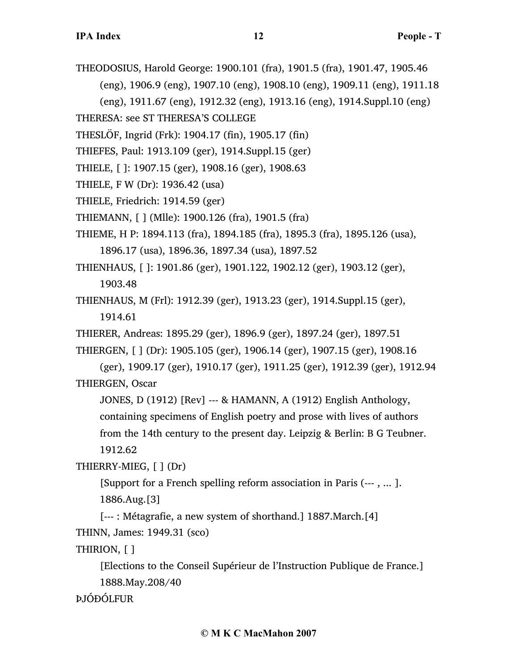THEODOSIUS, Harold George: 1900.101 (fra), 1901.5 (fra), 1901.47, 1905.46 (eng), 1906.9 (eng), 1907.10 (eng), 1908.10 (eng), 1909.11 (eng), 1911.18 (eng), 1911.67 (eng), 1912.32 (eng), 1913.16 (eng), 1914.Suppl.10 (eng)

THERESA: see ST THERESA'S COLLEGE

THESLÖF, Ingrid (Frk): 1904.17 (fin), 1905.17 (fin)

THIEFES, Paul: 1913.109 (ger), 1914.Suppl.15 (ger)

- THIELE, [ ]: 1907.15 (ger), 1908.16 (ger), 1908.63
- THIELE, F W (Dr): 1936.42 (usa)
- THIELE, Friedrich: 1914.59 (ger)
- THIEMANN, [ ] (Mlle): 1900.126 (fra), 1901.5 (fra)
- THIEME, H P: 1894.113 (fra), 1894.185 (fra), 1895.3 (fra), 1895.126 (usa), 1896.17 (usa), 1896.36, 1897.34 (usa), 1897.52
- THIENHAUS, [ ]: 1901.86 (ger), 1901.122, 1902.12 (ger), 1903.12 (ger), 1903.48
- THIENHAUS, M (Frl): 1912.39 (ger), 1913.23 (ger), 1914.Suppl.15 (ger), 1914.61

THIERER, Andreas: 1895.29 (ger), 1896.9 (ger), 1897.24 (ger), 1897.51

THIERGEN, [ ] (Dr): 1905.105 (ger), 1906.14 (ger), 1907.15 (ger), 1908.16

(ger), 1909.17 (ger), 1910.17 (ger), 1911.25 (ger), 1912.39 (ger), 1912.94 THIERGEN, Oscar

JONES, D (1912) [Rev] --- & HAMANN, A (1912) English Anthology,

containing specimens of English poetry and prose with lives of authors

from the 14th century to the present day. Leipzig & Berlin: B G Teubner.

1912.62

THIERRY-MIEG, [ ] (Dr)

[Support for a French spelling reform association in Paris (--- , ... ]. 1886.Aug.[3]

[--- : Métagrafie, a new system of shorthand.] 1887.March.[4]

```
THINN, James: 1949.31 (sco)
```
THIRION, [ ]

[Elections to the Conseil Supérieur de l'Instruction Publique de France.] 1888.May.208/40

ÞJÓÐÓLFUR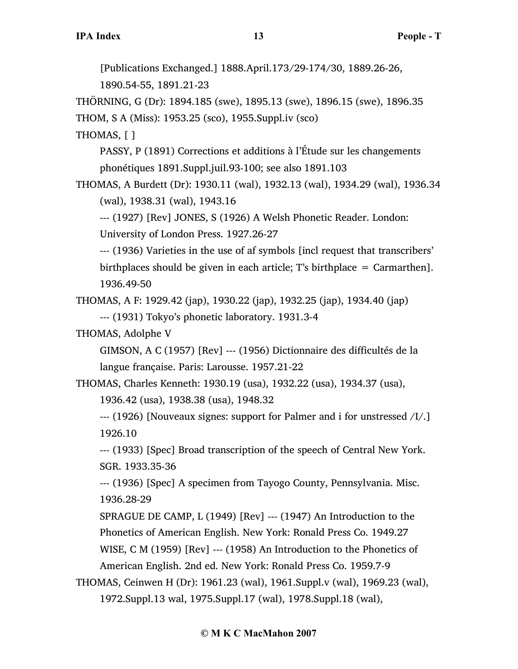[Publications Exchanged.] 1888.April.173/29-174/30, 1889.26-26,

1890.54-55, 1891.21-23

THÖRNING, G (Dr): 1894.185 (swe), 1895.13 (swe), 1896.15 (swe), 1896.35

THOM, S A (Miss): 1953.25 (sco), 1955.Suppl.iv (sco)

THOMAS, [ ]

PASSY, P (1891) Corrections et additions à l'Étude sur les changements phonétiques 1891.Suppl.juil.93-100; see also 1891.103

THOMAS, A Burdett (Dr): 1930.11 (wal), 1932.13 (wal), 1934.29 (wal), 1936.34 (wal), 1938.31 (wal), 1943.16

--- (1927) [Rev] JONES, S (1926) A Welsh Phonetic Reader. London: University of London Press. 1927.26-27

--- (1936) Varieties in the use of af symbols [incl request that transcribers' birthplaces should be given in each article; T's birthplace  $=$  Carmarthen]. 1936.49-50

THOMAS, A F: 1929.42 (jap), 1930.22 (jap), 1932.25 (jap), 1934.40 (jap) --- (1931) Tokyo's phonetic laboratory. 1931.3-4

THOMAS, Adolphe V

GIMSON, A C (1957) [Rev] --- (1956) Dictionnaire des difficultés de la langue française. Paris: Larousse. 1957.21-22

THOMAS, Charles Kenneth: 1930.19 (usa), 1932.22 (usa), 1934.37 (usa), 1936.42 (usa), 1938.38 (usa), 1948.32

--- (1926) [Nouveaux signes: support for Palmer and i for unstressed /I/.] 1926.10

--- (1933) [Spec] Broad transcription of the speech of Central New York. SGR. 1933.35-36

--- (1936) [Spec] A specimen from Tayogo County, Pennsylvania. Misc. 1936.28-29

SPRAGUE DE CAMP, L (1949) [Rev] --- (1947) An Introduction to the Phonetics of American English. New York: Ronald Press Co. 1949.27 WISE, C M (1959) [Rev] --- (1958) An Introduction to the Phonetics of American English. 2nd ed. New York: Ronald Press Co. 1959.7-9

THOMAS, Ceinwen H (Dr): 1961.23 (wal), 1961.Suppl.v (wal), 1969.23 (wal), 1972.Suppl.13 wal, 1975.Suppl.17 (wal), 1978.Suppl.18 (wal),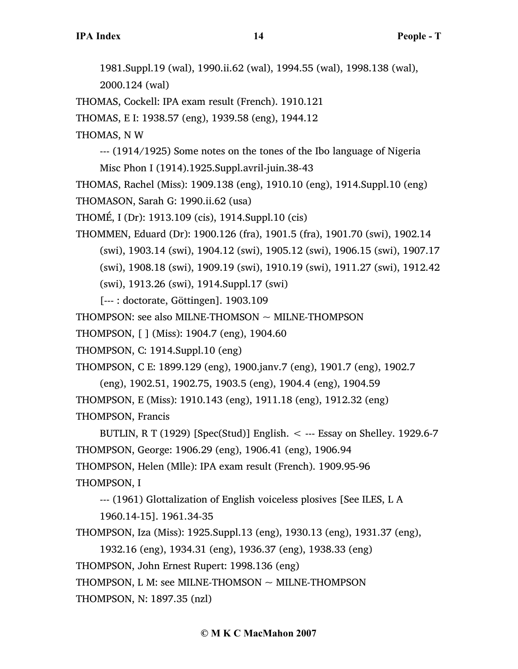1981.Suppl.19 (wal), 1990.ii.62 (wal), 1994.55 (wal), 1998.138 (wal), 2000.124 (wal)

THOMAS, Cockell: IPA exam result (French). 1910.121

THOMAS, E I: 1938.57 (eng), 1939.58 (eng), 1944.12

THOMAS, N W

--- (1914/1925) Some notes on the tones of the Ibo language of Nigeria Misc Phon I (1914).1925.Suppl.avril-juin.38-43

THOMAS, Rachel (Miss): 1909.138 (eng), 1910.10 (eng), 1914.Suppl.10 (eng)

THOMASON, Sarah G: 1990.ii.62 (usa)

THOMÉ, I (Dr): 1913.109 (cis), 1914.Suppl.10 (cis)

THOMMEN, Eduard (Dr): 1900.126 (fra), 1901.5 (fra), 1901.70 (swi), 1902.14 (swi), 1903.14 (swi), 1904.12 (swi), 1905.12 (swi), 1906.15 (swi), 1907.17 (swi), 1908.18 (swi), 1909.19 (swi), 1910.19 (swi), 1911.27 (swi), 1912.42 (swi), 1913.26 (swi), 1914.Suppl.17 (swi)

[--- : doctorate, Göttingen]. 1903.109

THOMPSON: see also MILNE-THOMSON  $\sim$  MILNE-THOMPSON

THOMPSON, [ ] (Miss): 1904.7 (eng), 1904.60

THOMPSON, C: 1914.Suppl.10 (eng)

THOMPSON, C E: 1899.129 (eng), 1900.janv.7 (eng), 1901.7 (eng), 1902.7

(eng), 1902.51, 1902.75, 1903.5 (eng), 1904.4 (eng), 1904.59

THOMPSON, E (Miss): 1910.143 (eng), 1911.18 (eng), 1912.32 (eng)

THOMPSON, Francis

BUTLIN, R T (1929) [Spec(Stud)] English.  $\leq$  --- Essay on Shelley. 1929.6-7 THOMPSON, George: 1906.29 (eng), 1906.41 (eng), 1906.94 THOMPSON, Helen (Mlle): IPA exam result (French). 1909.95-96 THOMPSON, I

--- (1961) Glottalization of English voiceless plosives [See ILES, L A

1960.14-15]. 1961.34-35

THOMPSON, Iza (Miss): 1925.Suppl.13 (eng), 1930.13 (eng), 1931.37 (eng),

1932.16 (eng), 1934.31 (eng), 1936.37 (eng), 1938.33 (eng)

THOMPSON, John Ernest Rupert: 1998.136 (eng)

THOMPSON, L M: see MILNE-THOMSON  $\sim$  MILNE-THOMPSON

THOMPSON, N: 1897.35 (nzl)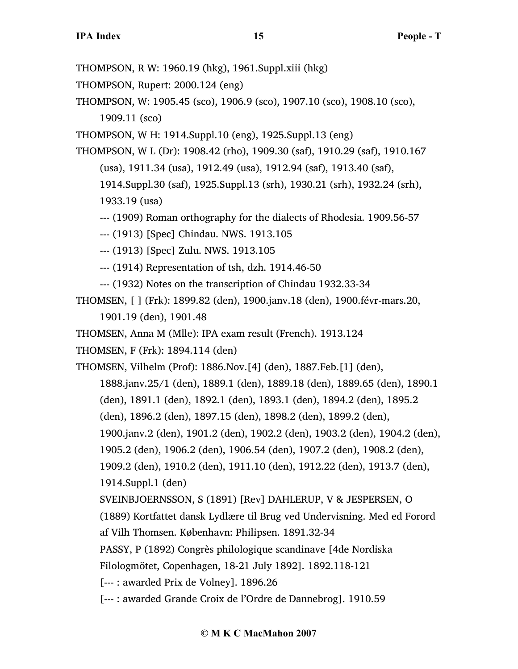THOMPSON, R W: 1960.19 (hkg), 1961.Suppl.xiii (hkg)

THOMPSON, Rupert: 2000.124 (eng)

THOMPSON, W: 1905.45 (sco), 1906.9 (sco), 1907.10 (sco), 1908.10 (sco), 1909.11 (sco)

THOMPSON, W H: 1914.Suppl.10 (eng), 1925.Suppl.13 (eng)

THOMPSON, W L (Dr): 1908.42 (rho), 1909.30 (saf), 1910.29 (saf), 1910.167 (usa), 1911.34 (usa), 1912.49 (usa), 1912.94 (saf), 1913.40 (saf),

1914.Suppl.30 (saf), 1925.Suppl.13 (srh), 1930.21 (srh), 1932.24 (srh), 1933.19 (usa)

--- (1909) Roman orthography for the dialects of Rhodesia. 1909.56-57

--- (1913) [Spec] Chindau. NWS. 1913.105

--- (1913) [Spec] Zulu. NWS. 1913.105

--- (1914) Representation of tsh, dzh. 1914.46-50

--- (1932) Notes on the transcription of Chindau 1932.33-34

THOMSEN, [ ] (Frk): 1899.82 (den), 1900.janv.18 (den), 1900.févr-mars.20, 1901.19 (den), 1901.48

THOMSEN, Anna M (Mlle): IPA exam result (French). 1913.124

THOMSEN, F (Frk): 1894.114 (den)

THOMSEN, Vilhelm (Prof): 1886.Nov.[4] (den), 1887.Feb.[1] (den),

1888.janv.25/1 (den), 1889.1 (den), 1889.18 (den), 1889.65 (den), 1890.1

(den), 1891.1 (den), 1892.1 (den), 1893.1 (den), 1894.2 (den), 1895.2

(den), 1896.2 (den), 1897.15 (den), 1898.2 (den), 1899.2 (den),

1900.janv.2 (den), 1901.2 (den), 1902.2 (den), 1903.2 (den), 1904.2 (den),

1905.2 (den), 1906.2 (den), 1906.54 (den), 1907.2 (den), 1908.2 (den),

1909.2 (den), 1910.2 (den), 1911.10 (den), 1912.22 (den), 1913.7 (den),

1914.Suppl.1 (den)

SVEINBJOERNSSON, S (1891) [Rev] DAHLERUP, V & JESPERSEN, O

(1889) Kortfattet dansk Lydlære til Brug ved Undervisning. Med ed Forord

af Vilh Thomsen. København: Philipsen. 1891.32-34

PASSY, P (1892) Congrès philologique scandinave [4de Nordiska

Filologmötet, Copenhagen, 18-21 July 1892]. 1892.118-121

[--- : awarded Prix de Volney]. 1896.26

[--- : awarded Grande Croix de l'Ordre de Dannebrog]. 1910.59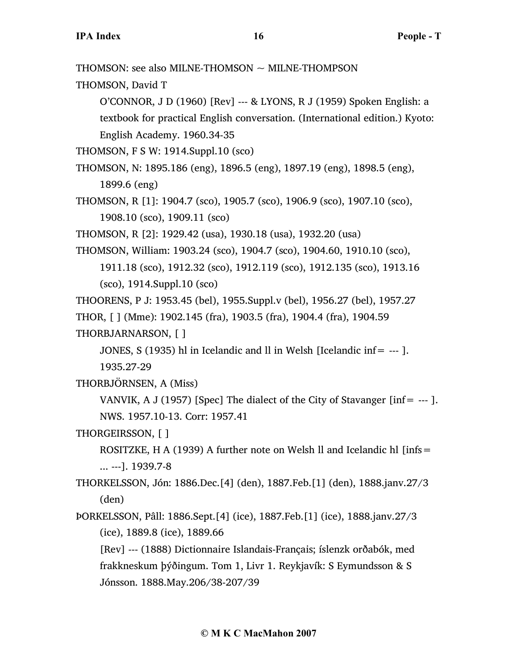THOMSON: see also MILNE-THOMSON ~ MILNE-THOMPSON

THOMSON, David T

O'CONNOR, J D (1960) [Rev] --- & LYONS, R J (1959) Spoken English: a textbook for practical English conversation. (International edition.) Kyoto: English Academy. 1960.34-35

THOMSON, F S W: 1914.Suppl.10 (sco)

- THOMSON, N: 1895.186 (eng), 1896.5 (eng), 1897.19 (eng), 1898.5 (eng), 1899.6 (eng)
- THOMSON, R [1]: 1904.7 (sco), 1905.7 (sco), 1906.9 (sco), 1907.10 (sco), 1908.10 (sco), 1909.11 (sco)

THOMSON, R [2]: 1929.42 (usa), 1930.18 (usa), 1932.20 (usa)

THOMSON, William: 1903.24 (sco), 1904.7 (sco), 1904.60, 1910.10 (sco),

1911.18 (sco), 1912.32 (sco), 1912.119 (sco), 1912.135 (sco), 1913.16 (sco), 1914.Suppl.10 (sco)

THOORENS, P J: 1953.45 (bel), 1955.Suppl.v (bel), 1956.27 (bel), 1957.27 THOR, [ ] (Mme): 1902.145 (fra), 1903.5 (fra), 1904.4 (fra), 1904.59 THORBJARNARSON, [ ]

JONES, S (1935) hl in Icelandic and ll in Welsh [Icelandic inf=  $-$ -- ]. 1935.27-29

THORBJÖRNSEN, A (Miss)

VANVIK, A J (1957) [Spec] The dialect of the City of Stavanger [ $inf = -1$ ]. NWS. 1957.10-13. Corr: 1957.41

THORGEIRSSON, [ ]

ROSITZKE, H A (1939) A further note on Welsh II and Icelandic hl [infs = ... ---]. 1939.7-8

THORKELSSON, Jón: 1886.Dec.[4] (den), 1887.Feb.[1] (den), 1888.janv.27/3 (den)

ÞORKELSSON, Pâll: 1886.Sept.[4] (ice), 1887.Feb.[1] (ice), 1888.janv.27/3 (ice), 1889.8 (ice), 1889.66

[Rev] --- (1888) Dictionnaire Islandais-Français; íslenzk orðabók, med frakkneskum þýðingum. Tom 1, Livr 1. Reykjavík: S Eymundsson & S Jónsson. 1888.May.206/38-207/39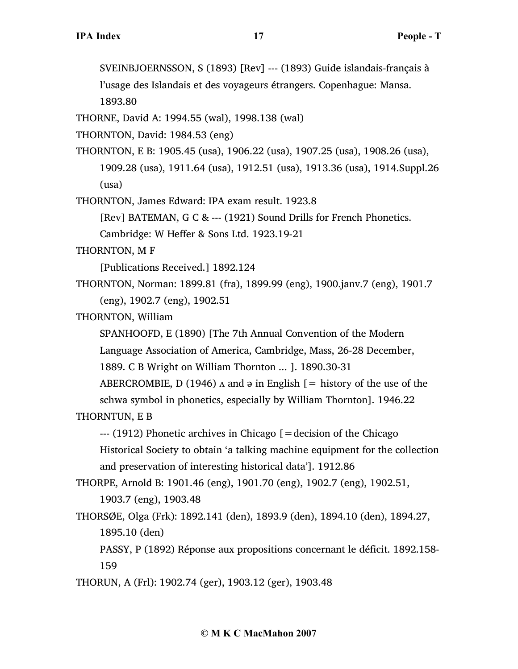SVEINBJOERNSSON, S (1893) [Rev] --- (1893) Guide islandais-français à

l'usage des Islandais et des voyageurs étrangers. Copenhague: Mansa. 1893.80

THORNE, David A: 1994.55 (wal), 1998.138 (wal)

THORNTON, David: 1984.53 (eng)

THORNTON, E B: 1905.45 (usa), 1906.22 (usa), 1907.25 (usa), 1908.26 (usa), 1909.28 (usa), 1911.64 (usa), 1912.51 (usa), 1913.36 (usa), 1914.Suppl.26 (usa)

THORNTON, James Edward: IPA exam result. 1923.8

[Rev] BATEMAN, G C & --- (1921) Sound Drills for French Phonetics.

Cambridge: W Heffer & Sons Ltd. 1923.19-21

THORNTON, M F

[Publications Received.] 1892.124

THORNTON, Norman: 1899.81 (fra), 1899.99 (eng), 1900.janv.7 (eng), 1901.7 (eng), 1902.7 (eng), 1902.51

THORNTON, William

SPANHOOFD, E (1890) [The 7th Annual Convention of the Modern Language Association of America, Cambridge, Mass, 26-28 December,

1889. C B Wright on William Thornton ... ]. 1890.30-31

ABERCROMBIE, D (1946)  $\Lambda$  and  $\vartheta$  in English [= history of the use of the schwa symbol in phonetics, especially by William Thornton]. 1946.22

THORNTUN, E B

 $-$ -- $(1912)$  Phonetic archives in Chicago  $=$  decision of the Chicago Historical Society to obtain 'a talking machine equipment for the collection and preservation of interesting historical data']. 1912.86

THORPE, Arnold B: 1901.46 (eng), 1901.70 (eng), 1902.7 (eng), 1902.51, 1903.7 (eng), 1903.48

THORSØE, Olga (Frk): 1892.141 (den), 1893.9 (den), 1894.10 (den), 1894.27, 1895.10 (den)

PASSY, P (1892) Réponse aux propositions concernant le déficit. 1892.158- 159

THORUN, A (Frl): 1902.74 (ger), 1903.12 (ger), 1903.48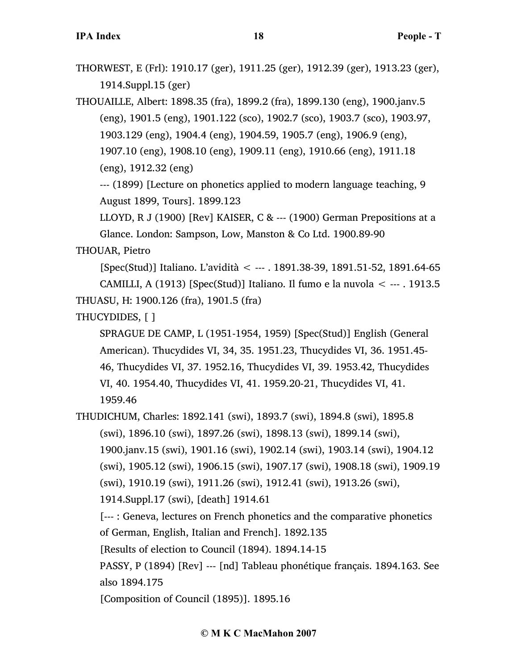THORWEST, E (Frl): 1910.17 (ger), 1911.25 (ger), 1912.39 (ger), 1913.23 (ger), 1914.Suppl.15 (ger)

THOUAILLE, Albert: 1898.35 (fra), 1899.2 (fra), 1899.130 (eng), 1900.janv.5 (eng), 1901.5 (eng), 1901.122 (sco), 1902.7 (sco), 1903.7 (sco), 1903.97, 1903.129 (eng), 1904.4 (eng), 1904.59, 1905.7 (eng), 1906.9 (eng), 1907.10 (eng), 1908.10 (eng), 1909.11 (eng), 1910.66 (eng), 1911.18 (eng), 1912.32 (eng)

--- (1899) [Lecture on phonetics applied to modern language teaching, 9 August 1899, Tours]. 1899.123

LLOYD, R J (1900) [Rev] KAISER, C & --- (1900) German Prepositions at a Glance. London: Sampson, Low, Manston & Co Ltd. 1900.89-90

THOUAR, Pietro

[Spec(Stud)] Italiano. L'avidità < --- . 1891.38-39, 1891.51-52, 1891.64-65 CAMILLI, A (1913) [Spec(Stud)] Italiano. Il fumo e la nuvola  $\lt$  --- . 1913.5 THUASU, H: 1900.126 (fra), 1901.5 (fra)

THUCYDIDES, [ ]

SPRAGUE DE CAMP, L (1951-1954, 1959) [Spec(Stud)] English (General American). Thucydides VI, 34, 35. 1951.23, Thucydides VI, 36. 1951.45- 46, Thucydides VI, 37. 1952.16, Thucydides VI, 39. 1953.42, Thucydides VI, 40. 1954.40, Thucydides VI, 41. 1959.20-21, Thucydides VI, 41. 1959.46

THUDICHUM, Charles: 1892.141 (swi), 1893.7 (swi), 1894.8 (swi), 1895.8 (swi), 1896.10 (swi), 1897.26 (swi), 1898.13 (swi), 1899.14 (swi), 1900.janv.15 (swi), 1901.16 (swi), 1902.14 (swi), 1903.14 (swi), 1904.12 (swi), 1905.12 (swi), 1906.15 (swi), 1907.17 (swi), 1908.18 (swi), 1909.19 (swi), 1910.19 (swi), 1911.26 (swi), 1912.41 (swi), 1913.26 (swi), 1914.Suppl.17 (swi), [death] 1914.61 [--- : Geneva, lectures on French phonetics and the comparative phonetics of German, English, Italian and French]. 1892.135 [Results of election to Council (1894). 1894.14-15 PASSY, P (1894) [Rev] --- [nd] Tableau phonétique français. 1894.163. See also 1894.175

[Composition of Council (1895)]. 1895.16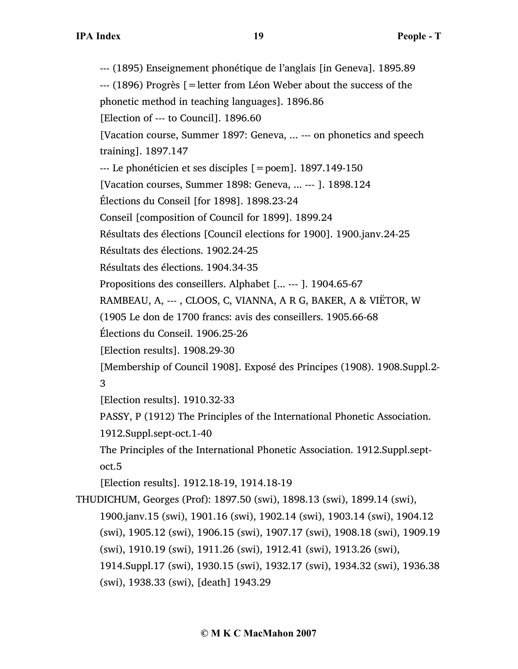--- (1895) Enseignement phonétique de l'anglais [in Geneva]. 1895.89 --- (1896) Progrès [=letter from Léon Weber about the success of the phonetic method in teaching languages]. 1896.86 [Election of --- to Council]. 1896.60 [Vacation course, Summer 1897: Geneva, ... --- on phonetics and speech training]. 1897.147 --- Le phonéticien et ses disciples [=poem]. 1897.149-150 [Vacation courses, Summer 1898: Geneva, ... --- ]. 1898.124 Élections du Conseil [for 1898]. 1898.23-24 Conseil [composition of Council for 1899]. 1899.24 Résultats des élections [Council elections for 1900]. 1900.janv.24-25 Résultats des élections. 1902.24-25 Résultats des élections. 1904.34-35 Propositions des conseillers. Alphabet [... --- ]. 1904.65-67 RAMBEAU, A, --- , CLOOS, C, VIANNA, A R G, BAKER, A & VIËTOR, W (1905 Le don de 1700 francs: avis des conseillers. 1905.66-68 Élections du Conseil. 1906.25-26 [Election results]. 1908.29-30 [Membership of Council 1908]. Exposé des Principes (1908). 1908.Suppl.2- 3 [Election results]. 1910.32-33 PASSY, P (1912) The Principles of the International Phonetic Association. 1912.Suppl.sept-oct.1-40 The Principles of the International Phonetic Association. 1912.Suppl.septoct.5 [Election results]. 1912.18-19, 1914.18-19 THUDICHUM, Georges (Prof): 1897.50 (swi), 1898.13 (swi), 1899.14 (swi), 1900.janv.15 (swi), 1901.16 (swi), 1902.14 (swi), 1903.14 (swi), 1904.12 (swi), 1905.12 (swi), 1906.15 (swi), 1907.17 (swi), 1908.18 (swi), 1909.19 (swi), 1910.19 (swi), 1911.26 (swi), 1912.41 (swi), 1913.26 (swi), 1914.Suppl.17 (swi), 1930.15 (swi), 1932.17 (swi), 1934.32 (swi), 1936.38 (swi), 1938.33 (swi), [death] 1943.29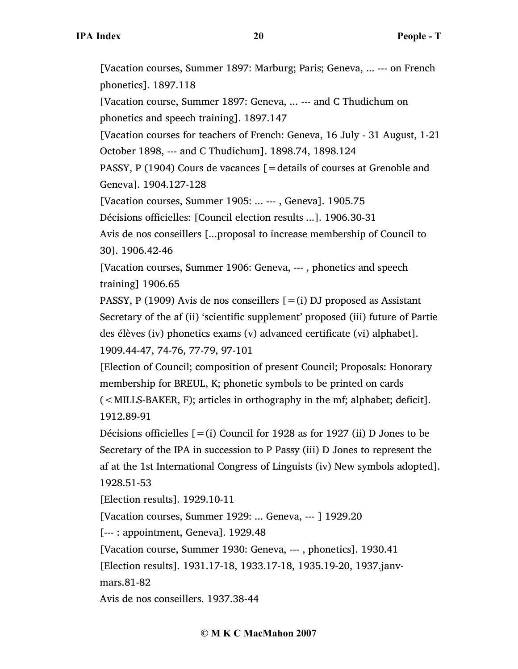[Vacation courses, Summer 1897: Marburg; Paris; Geneva, ... --- on French phonetics]. 1897.118 [Vacation course, Summer 1897: Geneva, ... --- and C Thudichum on phonetics and speech training]. 1897.147 [Vacation courses for teachers of French: Geneva, 16 July - 31 August, 1-21 October 1898, --- and C Thudichum]. 1898.74, 1898.124 PASSY, P (1904) Cours de vacances [=details of courses at Grenoble and Geneva]. 1904.127-128 [Vacation courses, Summer 1905: ... --- , Geneva]. 1905.75 Décisions officielles: [Council election results ...]. 1906.30-31 Avis de nos conseillers [...proposal to increase membership of Council to 30]. 1906.42-46 [Vacation courses, Summer 1906: Geneva, --- , phonetics and speech training] 1906.65 PASSY, P (1909) Avis de nos conseillers  $[=(i)$  DJ proposed as Assistant Secretary of the af (ii) 'scientific supplement' proposed (iii) future of Partie des élèves (iv) phonetics exams (v) advanced certificate (vi) alphabet]. 1909.44-47, 74-76, 77-79, 97-101 [Election of Council; composition of present Council; Proposals: Honorary membership for BREUL, K; phonetic symbols to be printed on cards (<MILLS-BAKER, F); articles in orthography in the mf; alphabet; deficit]. 1912.89-91 Décisions officielles  $[=(i)$  Council for 1928 as for 1927 (ii) D Jones to be Secretary of the IPA in succession to P Passy (iii) D Jones to represent the af at the 1st International Congress of Linguists (iv) New symbols adopted]. 1928.51-53

[Election results]. 1929.10-11

[Vacation courses, Summer 1929: ... Geneva, --- ] 1929.20

[--- : appointment, Geneva]. 1929.48

[Vacation course, Summer 1930: Geneva, --- , phonetics]. 1930.41

[Election results]. 1931.17-18, 1933.17-18, 1935.19-20, 1937.janv-

mars.81-82

Avis de nos conseillers. 1937.38-44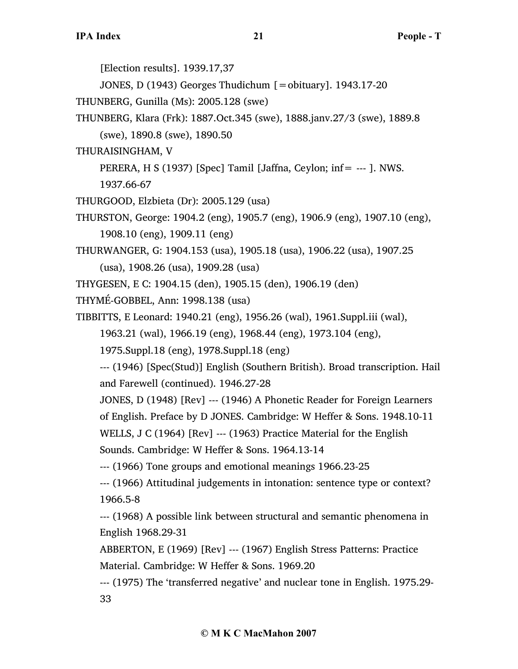[Election results]. 1939.17,37

JONES, D (1943) Georges Thudichum [=obituary]. 1943.17-20

THUNBERG, Gunilla (Ms): 2005.128 (swe)

THUNBERG, Klara (Frk): 1887.Oct.345 (swe), 1888.janv.27/3 (swe), 1889.8

(swe), 1890.8 (swe), 1890.50

THURAISINGHAM, V

PERERA, H S (1937) [Spec] Tamil [Jaffna, Ceylon; inf= --- ]. NWS.

1937.66-67

THURGOOD, Elzbieta (Dr): 2005.129 (usa)

THURSTON, George: 1904.2 (eng), 1905.7 (eng), 1906.9 (eng), 1907.10 (eng), 1908.10 (eng), 1909.11 (eng)

THURWANGER, G: 1904.153 (usa), 1905.18 (usa), 1906.22 (usa), 1907.25

(usa), 1908.26 (usa), 1909.28 (usa)

THYGESEN, E C: 1904.15 (den), 1905.15 (den), 1906.19 (den)

THYMÉ-GOBBEL, Ann: 1998.138 (usa)

TIBBITTS, E Leonard: 1940.21 (eng), 1956.26 (wal), 1961.Suppl.iii (wal),

1963.21 (wal), 1966.19 (eng), 1968.44 (eng), 1973.104 (eng),

1975.Suppl.18 (eng), 1978.Suppl.18 (eng)

--- (1946) [Spec(Stud)] English (Southern British). Broad transcription. Hail and Farewell (continued). 1946.27-28

JONES, D (1948) [Rev] --- (1946) A Phonetic Reader for Foreign Learners

of English. Preface by D JONES. Cambridge: W Heffer & Sons. 1948.10-11

WELLS, J C (1964) [Rev] --- (1963) Practice Material for the English

Sounds. Cambridge: W Heffer & Sons. 1964.13-14

--- (1966) Tone groups and emotional meanings 1966.23-25

--- (1966) Attitudinal judgements in intonation: sentence type or context? 1966.5-8

--- (1968) A possible link between structural and semantic phenomena in English 1968.29-31

ABBERTON, E (1969) [Rev] --- (1967) English Stress Patterns: Practice Material. Cambridge: W Heffer & Sons. 1969.20

--- (1975) The 'transferred negative' and nuclear tone in English. 1975.29- 33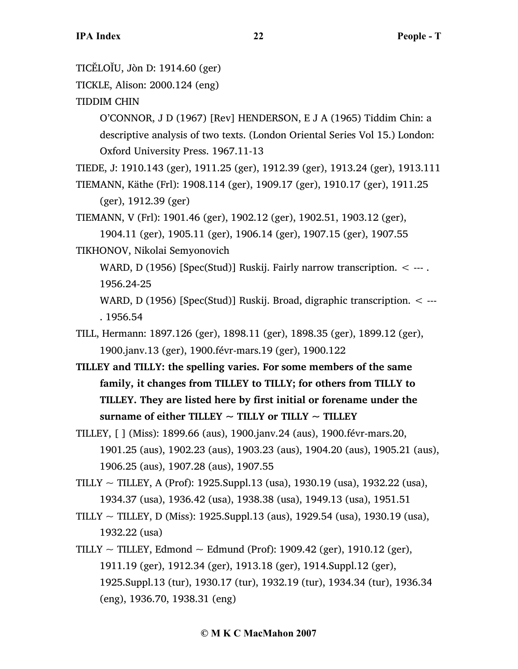TICĔLOĬU, Jòn D: 1914.60 (ger)

- TICKLE, Alison: 2000.124 (eng)
- TIDDIM CHIN

O'CONNOR, J D (1967) [Rev] HENDERSON, E J A (1965) Tiddim Chin: a descriptive analysis of two texts. (London Oriental Series Vol 15.) London: Oxford University Press. 1967.11-13

TIEDE, J: 1910.143 (ger), 1911.25 (ger), 1912.39 (ger), 1913.24 (ger), 1913.111

TIEMANN, Käthe (Frl): 1908.114 (ger), 1909.17 (ger), 1910.17 (ger), 1911.25 (ger), 1912.39 (ger)

TIEMANN, V (Frl): 1901.46 (ger), 1902.12 (ger), 1902.51, 1903.12 (ger),

1904.11 (ger), 1905.11 (ger), 1906.14 (ger), 1907.15 (ger), 1907.55 TIKHONOV, Nikolai Semyonovich

WARD, D (1956) [Spec(Stud)] Ruskij. Fairly narrow transcription. < ---. 1956.24-25

WARD, D (1956) [Spec(Stud)] Ruskij. Broad, digraphic transcription. < --- . 1956.54

TILL, Hermann: 1897.126 (ger), 1898.11 (ger), 1898.35 (ger), 1899.12 (ger), 1900.janv.13 (ger), 1900.févr-mars.19 (ger), 1900.122

- **TILLEY and TILLY: the spelling varies. For some members of the same family, it changes from TILLEY to TILLY; for others from TILLY to TILLEY. They are listed here by first initial or forename under the surname of either TILLEY ~ TILLY or TILLY ~ TILLEY**
- TILLEY, [ ] (Miss): 1899.66 (aus), 1900.janv.24 (aus), 1900.févr-mars.20, 1901.25 (aus), 1902.23 (aus), 1903.23 (aus), 1904.20 (aus), 1905.21 (aus), 1906.25 (aus), 1907.28 (aus), 1907.55

TILLY  $\sim$  TILLEY, A (Prof): 1925. Suppl. 13 (usa), 1930. 19 (usa), 1932. 22 (usa), 1934.37 (usa), 1936.42 (usa), 1938.38 (usa), 1949.13 (usa), 1951.51

- TILLY  $\sim$  TILLEY, D (Miss): 1925. Suppl. 13 (aus), 1929. 54 (usa), 1930. 19 (usa), 1932.22 (usa)
- TILLY  $\sim$  TILLEY, Edmond  $\sim$  Edmund (Prof): 1909.42 (ger), 1910.12 (ger), 1911.19 (ger), 1912.34 (ger), 1913.18 (ger), 1914.Suppl.12 (ger), 1925.Suppl.13 (tur), 1930.17 (tur), 1932.19 (tur), 1934.34 (tur), 1936.34 (eng), 1936.70, 1938.31 (eng)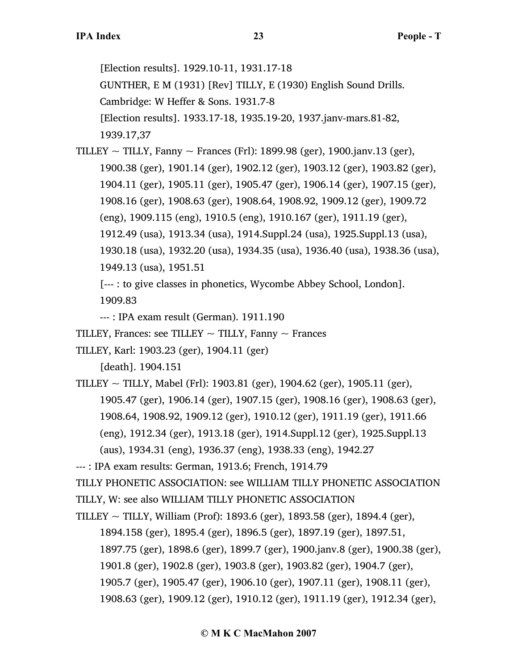[Election results]. 1929.10-11, 1931.17-18 GUNTHER, E M (1931) [Rev] TILLY, E (1930) English Sound Drills. Cambridge: W Heffer & Sons. 1931.7-8 [Election results]. 1933.17-18, 1935.19-20, 1937.janv-mars.81-82, 1939.17,37

TILLEY  $\sim$  TILLY, Fanny  $\sim$  Frances (Frl): 1899.98 (ger), 1900.janv.13 (ger), 1900.38 (ger), 1901.14 (ger), 1902.12 (ger), 1903.12 (ger), 1903.82 (ger), 1904.11 (ger), 1905.11 (ger), 1905.47 (ger), 1906.14 (ger), 1907.15 (ger), 1908.16 (ger), 1908.63 (ger), 1908.64, 1908.92, 1909.12 (ger), 1909.72 (eng), 1909.115 (eng), 1910.5 (eng), 1910.167 (ger), 1911.19 (ger), 1912.49 (usa), 1913.34 (usa), 1914.Suppl.24 (usa), 1925.Suppl.13 (usa), 1930.18 (usa), 1932.20 (usa), 1934.35 (usa), 1936.40 (usa), 1938.36 (usa), 1949.13 (usa), 1951.51

[--- : to give classes in phonetics, Wycombe Abbey School, London].

1909.83

--- : IPA exam result (German). 1911.190

TILLEY, Frances: see TILLEY  $\sim$  TILLY, Fanny  $\sim$  Frances

TILLEY, Karl: 1903.23 (ger), 1904.11 (ger)

[death]. 1904.151

TILLEY  $\sim$  TILLY, Mabel (Frl): 1903.81 (ger), 1904.62 (ger), 1905.11 (ger), 1905.47 (ger), 1906.14 (ger), 1907.15 (ger), 1908.16 (ger), 1908.63 (ger), 1908.64, 1908.92, 1909.12 (ger), 1910.12 (ger), 1911.19 (ger), 1911.66 (eng), 1912.34 (ger), 1913.18 (ger), 1914.Suppl.12 (ger), 1925.Suppl.13 (aus), 1934.31 (eng), 1936.37 (eng), 1938.33 (eng), 1942.27

--- : IPA exam results: German, 1913.6; French, 1914.79

TILLY PHONETIC ASSOCIATION: see WILLIAM TILLY PHONETIC ASSOCIATION

TILLY, W: see also WILLIAM TILLY PHONETIC ASSOCIATION

TILLEY  $\sim$  TILLY, William (Prof): 1893.6 (ger), 1893.58 (ger), 1894.4 (ger),

1894.158 (ger), 1895.4 (ger), 1896.5 (ger), 1897.19 (ger), 1897.51,

1897.75 (ger), 1898.6 (ger), 1899.7 (ger), 1900.janv.8 (ger), 1900.38 (ger),

1901.8 (ger), 1902.8 (ger), 1903.8 (ger), 1903.82 (ger), 1904.7 (ger),

1905.7 (ger), 1905.47 (ger), 1906.10 (ger), 1907.11 (ger), 1908.11 (ger),

1908.63 (ger), 1909.12 (ger), 1910.12 (ger), 1911.19 (ger), 1912.34 (ger),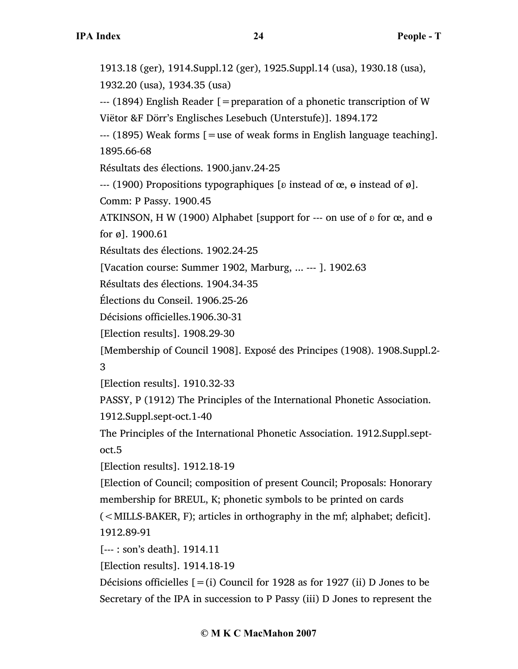1913.18 (ger), 1914.Suppl.12 (ger), 1925.Suppl.14 (usa), 1930.18 (usa), 1932.20 (usa), 1934.35 (usa)

--- (1894) English Reader [=preparation of a phonetic transcription of W Viëtor &F Dörr's Englisches Lesebuch (Unterstufe)]. 1894.172

--- (1895) Weak forms [=use of weak forms in English language teaching]. 1895.66-68

Résultats des élections. 1900.janv.24-25

--- (1900) Propositions typographiques [ $\delta$  instead of  $\alpha$ ,  $\theta$  instead of  $\varnothing$ ].

Comm: P Passy. 1900.45

ATKINSON, H W (1900) Alphabet [support for  $--$  on use of  $\delta$  for  $\alpha$ , and  $\theta$ for ø]. 1900.61

Résultats des élections. 1902.24-25

[Vacation course: Summer 1902, Marburg, ... --- ]. 1902.63

Résultats des élections. 1904.34-35

Élections du Conseil. 1906.25-26

Décisions officielles.1906.30-31

[Election results]. 1908.29-30

[Membership of Council 1908]. Exposé des Principes (1908). 1908.Suppl.2-

3

[Election results]. 1910.32-33

PASSY, P (1912) The Principles of the International Phonetic Association.

1912.Suppl.sept-oct.1-40

The Principles of the International Phonetic Association. 1912.Suppl.septoct.5

[Election results]. 1912.18-19

[Election of Council; composition of present Council; Proposals: Honorary membership for BREUL, K; phonetic symbols to be printed on cards  $(<$  MILLS-BAKER, F); articles in orthography in the mf; alphabet; deficit].

1912.89-91

[--- : son's death]. 1914.11

[Election results]. 1914.18-19

Décisions officielles  $[=(i)$  Council for 1928 as for 1927 (ii) D Jones to be Secretary of the IPA in succession to P Passy (iii) D Jones to represent the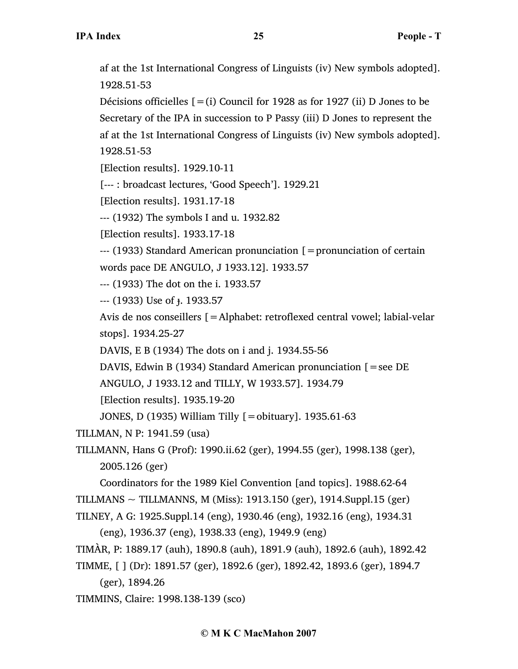af at the 1st International Congress of Linguists (iv) New symbols adopted]. 1928.51-53

Décisions officielles  $[=(i)$  Council for 1928 as for 1927 (ii) D Jones to be Secretary of the IPA in succession to P Passy (iii) D Jones to represent the af at the 1st International Congress of Linguists (iv) New symbols adopted]. 1928.51-53

[Election results]. 1929.10-11

[--- : broadcast lectures, 'Good Speech']. 1929.21

[Election results]. 1931.17-18

--- (1932) The symbols I and u. 1932.82

[Election results]. 1933.17-18

--- (1933) Standard American pronunciation [=pronunciation of certain words pace DE ANGULO, J 1933.12]. 1933.57

--- (1933) The dot on the i. 1933.57

--- (1933) Use of ɟ. 1933.57

Avis de nos conseillers [=Alphabet: retroflexed central vowel; labial-velar stops]. 1934.25-27

DAVIS, E B (1934) The dots on i and j. 1934.55-56

DAVIS, Edwin B (1934) Standard American pronunciation [=see DE

ANGULO, J 1933.12 and TILLY, W 1933.57]. 1934.79

[Election results]. 1935.19-20

JONES, D (1935) William Tilly [=obituary]. 1935.61-63

TILLMAN, N P: 1941.59 (usa)

```
TILLMANN, Hans G (Prof): 1990.ii.62 (ger), 1994.55 (ger), 1998.138 (ger), 
2005.126 (ger)
```
Coordinators for the 1989 Kiel Convention [and topics]. 1988.62-64 TILLMANS  $\sim$  TILLMANNS, M (Miss): 1913.150 (ger), 1914.Suppl.15 (ger)

TILNEY, A G: 1925.Suppl.14 (eng), 1930.46 (eng), 1932.16 (eng), 1934.31

(eng), 1936.37 (eng), 1938.33 (eng), 1949.9 (eng)

```
TIMÀR, P: 1889.17 (auh), 1890.8 (auh), 1891.9 (auh), 1892.6 (auh), 1892.42
```

```
TIMME, [ ] (Dr): 1891.57 (ger), 1892.6 (ger), 1892.42, 1893.6 (ger), 1894.7
```
(ger), 1894.26

TIMMINS, Claire: 1998.138-139 (sco)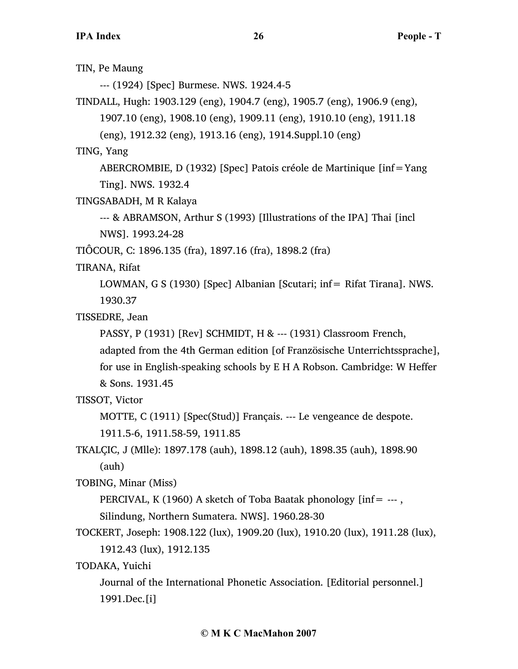TIN, Pe Maung --- (1924) [Spec] Burmese. NWS. 1924.4-5 TINDALL, Hugh: 1903.129 (eng), 1904.7 (eng), 1905.7 (eng), 1906.9 (eng), 1907.10 (eng), 1908.10 (eng), 1909.11 (eng), 1910.10 (eng), 1911.18 (eng), 1912.32 (eng), 1913.16 (eng), 1914.Suppl.10 (eng) TING, Yang ABERCROMBIE, D (1932) [Spec] Patois créole de Martinique [inf=Yang Ting]. NWS. 1932.4 TINGSABADH, M R Kalaya --- & ABRAMSON, Arthur S (1993) [Illustrations of the IPA] Thai [incl NWS]. 1993.24-28 TIÔCOUR, C: 1896.135 (fra), 1897.16 (fra), 1898.2 (fra) TIRANA, Rifat LOWMAN, G S (1930) [Spec] Albanian [Scutari; inf= Rifat Tirana]. NWS. 1930.37 TISSEDRE, Jean PASSY, P (1931) [Rev] SCHMIDT, H & --- (1931) Classroom French, adapted from the 4th German edition [of Französische Unterrichtssprache], for use in English-speaking schools by E H A Robson. Cambridge: W Heffer & Sons. 1931.45 TISSOT, Victor MOTTE, C (1911) [Spec(Stud)] Français. --- Le vengeance de despote. 1911.5-6, 1911.58-59, 1911.85 TKALÇIC, J (Mlle): 1897.178 (auh), 1898.12 (auh), 1898.35 (auh), 1898.90 (auh) TOBING, Minar (Miss) PERCIVAL, K (1960) A sketch of Toba Baatak phonology  $[inf = -1]$ , Silindung, Northern Sumatera. NWS]. 1960.28-30 TOCKERT, Joseph: 1908.122 (lux), 1909.20 (lux), 1910.20 (lux), 1911.28 (lux), 1912.43 (lux), 1912.135 TODAKA, Yuichi

Journal of the International Phonetic Association. [Editorial personnel.] 1991.Dec.[i]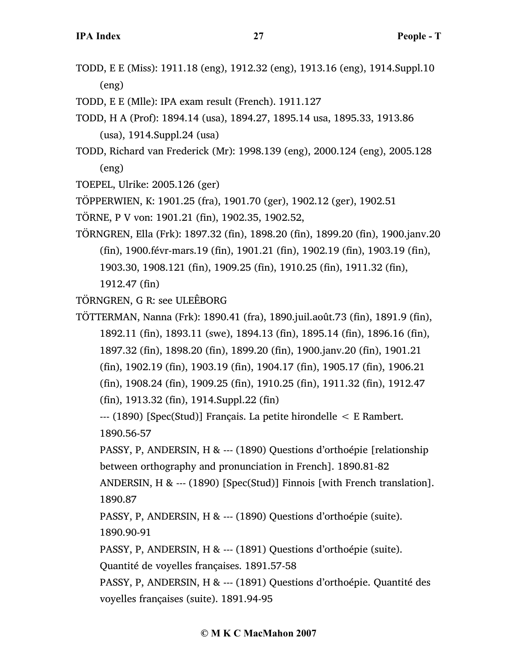TODD, E E (Miss): 1911.18 (eng), 1912.32 (eng), 1913.16 (eng), 1914.Suppl.10 (eng)

TODD, E E (Mlle): IPA exam result (French). 1911.127

- TODD, H A (Prof): 1894.14 (usa), 1894.27, 1895.14 usa, 1895.33, 1913.86 (usa), 1914.Suppl.24 (usa)
- TODD, Richard van Frederick (Mr): 1998.139 (eng), 2000.124 (eng), 2005.128 (eng)
- TOEPEL, Ulrike: 2005.126 (ger)

TÖPPERWIEN, K: 1901.25 (fra), 1901.70 (ger), 1902.12 (ger), 1902.51

- TÖRNE, P V von: 1901.21 (fin), 1902.35, 1902.52,
- TÖRNGREN, Ella (Frk): 1897.32 (fin), 1898.20 (fin), 1899.20 (fin), 1900.janv.20 (fin), 1900.févr-mars.19 (fin), 1901.21 (fin), 1902.19 (fin), 1903.19 (fin), 1903.30, 1908.121 (fin), 1909.25 (fin), 1910.25 (fin), 1911.32 (fin), 1912.47 (fin)

TÖRNGREN, G R: see ULEÊBORG

TÖTTERMAN, Nanna (Frk): 1890.41 (fra), 1890.juil.août.73 (fin), 1891.9 (fin), 1892.11 (fin), 1893.11 (swe), 1894.13 (fin), 1895.14 (fin), 1896.16 (fin), 1897.32 (fin), 1898.20 (fin), 1899.20 (fin), 1900.janv.20 (fin), 1901.21 (fin), 1902.19 (fin), 1903.19 (fin), 1904.17 (fin), 1905.17 (fin), 1906.21 (fin), 1908.24 (fin), 1909.25 (fin), 1910.25 (fin), 1911.32 (fin), 1912.47 (fin), 1913.32 (fin), 1914.Suppl.22 (fin)

--- (1890) [Spec(Stud)] Français. La petite hirondelle < E Rambert. 1890.56-57

PASSY, P, ANDERSIN, H & --- (1890) Questions d'orthoépie [relationship between orthography and pronunciation in French]. 1890.81-82

ANDERSIN, H & --- (1890) [Spec(Stud)] Finnois [with French translation]. 1890.87

PASSY, P, ANDERSIN, H & --- (1890) Questions d'orthoépie (suite). 1890.90-91

PASSY, P, ANDERSIN, H & --- (1891) Questions d'orthoépie (suite).

Quantité de voyelles françaises. 1891.57-58

PASSY, P, ANDERSIN, H & --- (1891) Questions d'orthoépie. Quantité des voyelles françaises (suite). 1891.94-95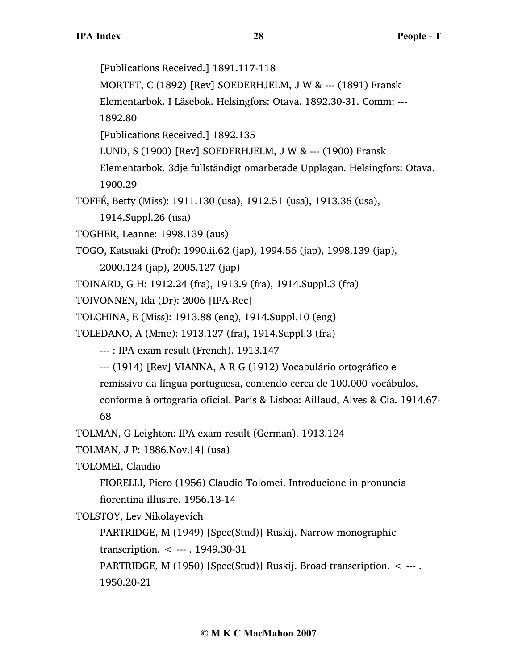[Publications Received.] 1891.117-118 MORTET, C (1892) [Rev] SOEDERHJELM, J W & --- (1891) Fransk Elementarbok. I Läsebok. Helsingfors: Otava. 1892.30-31. Comm: --- 1892.80 [Publications Received.] 1892.135 LUND, S (1900) [Rev] SOEDERHJELM, J W & --- (1900) Fransk Elementarbok. 3dje fullständigt omarbetade Upplagan. Helsingfors: Otava. 1900.29 TOFFÉ, Betty (Miss): 1911.130 (usa), 1912.51 (usa), 1913.36 (usa), 1914.Suppl.26 (usa) TOGHER, Leanne: 1998.139 (aus) TOGO, Katsuaki (Prof): 1990.ii.62 (jap), 1994.56 (jap), 1998.139 (jap), 2000.124 (jap), 2005.127 (jap) TOINARD, G H: 1912.24 (fra), 1913.9 (fra), 1914.Suppl.3 (fra) TOIVONNEN, Ida (Dr): 2006 [IPA-Rec] TOLCHINA, E (Miss): 1913.88 (eng), 1914.Suppl.10 (eng) TOLEDANO, A (Mme): 1913.127 (fra), 1914.Suppl.3 (fra) --- : IPA exam result (French). 1913.147 --- (1914) [Rev] VIANNA, A R G (1912) Vocabulário ortográfico e remissivo da língua portuguesa, contendo cerca de 100.000 vocábulos, conforme à ortografia oficial. Paris & Lisboa: Aillaud, Alves & Cia. 1914.67- 68 TOLMAN, G Leighton: IPA exam result (German). 1913.124 TOLMAN, J P: 1886.Nov.[4] (usa) TOLOMEI, Claudio FIORELLI, Piero (1956) Claudio Tolomei. Introducione in pronuncia fiorentina illustre. 1956.13-14 TOLSTOY, Lev Nikolayevich PARTRIDGE, M (1949) [Spec(Stud)] Ruskij. Narrow monographic transcription. < --- . 1949.30-31 PARTRIDGE, M (1950) [Spec(Stud)] Ruskij. Broad transcription. < --- . 1950.20-21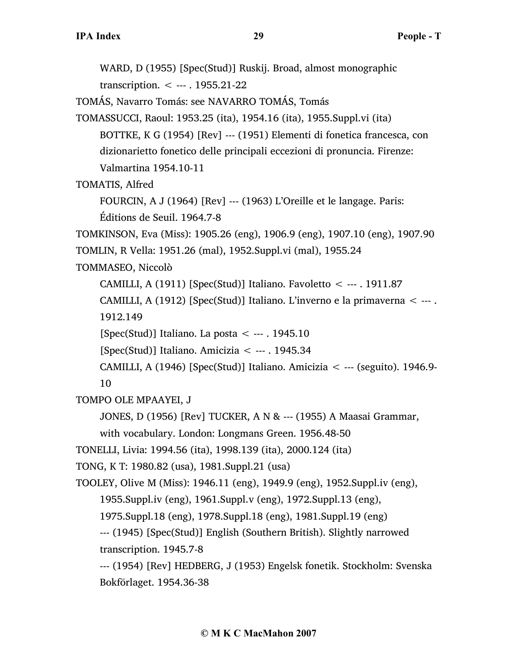WARD, D (1955) [Spec(Stud)] Ruskij. Broad, almost monographic transcription. < --- . 1955.21-22 TOMÁS, Navarro Tomás: see NAVARRO TOMÁS, Tomás TOMASSUCCI, Raoul: 1953.25 (ita), 1954.16 (ita), 1955.Suppl.vi (ita) BOTTKE, K G (1954) [Rev] --- (1951) Elementi di fonetica francesca, con dizionarietto fonetico delle principali eccezioni di pronuncia. Firenze: Valmartina 1954.10-11 TOMATIS, Alfred FOURCIN, A J (1964) [Rev] --- (1963) L'Oreille et le langage. Paris: Éditions de Seuil. 1964.7-8 TOMKINSON, Eva (Miss): 1905.26 (eng), 1906.9 (eng), 1907.10 (eng), 1907.90 TOMLIN, R Vella: 1951.26 (mal), 1952.Suppl.vi (mal), 1955.24 TOMMASEO, Niccolò CAMILLI, A (1911) [Spec(Stud)] Italiano. Favoletto < --- . 1911.87 CAMILLI, A (1912) [Spec(Stud)] Italiano. L'inverno e la primaverna < --- . 1912.149 [Spec(Stud)] Italiano. La posta  $\leq$  --- . 1945.10 [Spec(Stud)] Italiano. Amicizia < --- . 1945.34 CAMILLI, A (1946) [Spec(Stud)] Italiano. Amicizia  $\lt$  --- (seguito). 1946.9-10 TOMPO OLE MPAAYEI, J JONES, D (1956) [Rev] TUCKER, A N & --- (1955) A Maasai Grammar, with vocabulary. London: Longmans Green. 1956.48-50 TONELLI, Livia: 1994.56 (ita), 1998.139 (ita), 2000.124 (ita) TONG, K T: 1980.82 (usa), 1981.Suppl.21 (usa) TOOLEY, Olive M (Miss): 1946.11 (eng), 1949.9 (eng), 1952.Suppl.iv (eng), 1955.Suppl.iv (eng), 1961.Suppl.v (eng), 1972.Suppl.13 (eng), 1975.Suppl.18 (eng), 1978.Suppl.18 (eng), 1981.Suppl.19 (eng) --- (1945) [Spec(Stud)] English (Southern British). Slightly narrowed transcription. 1945.7-8 --- (1954) [Rev] HEDBERG, J (1953) Engelsk fonetik. Stockholm: Svenska Bokförlaget. 1954.36-38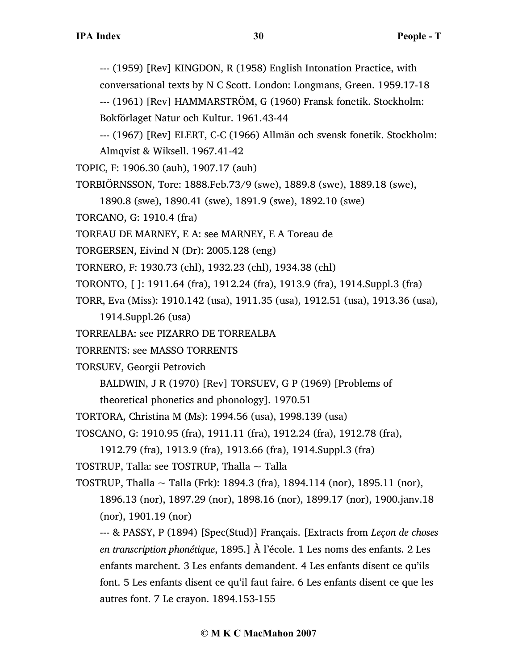--- (1959) [Rev] KINGDON, R (1958) English Intonation Practice, with conversational texts by N C Scott. London: Longmans, Green. 1959.17-18

--- (1961) [Rev] HAMMARSTRÖM, G (1960) Fransk fonetik. Stockholm: Bokförlaget Natur och Kultur. 1961.43-44

--- (1967) [Rev] ELERT, C-C (1966) Allmän och svensk fonetik. Stockholm: Almqvist & Wiksell. 1967.41-42

TOPIC, F: 1906.30 (auh), 1907.17 (auh)

TORBIÖRNSSON, Tore: 1888.Feb.73/9 (swe), 1889.8 (swe), 1889.18 (swe),

1890.8 (swe), 1890.41 (swe), 1891.9 (swe), 1892.10 (swe)

TORCANO, G: 1910.4 (fra)

TOREAU DE MARNEY, E A: see MARNEY, E A Toreau de

TORGERSEN, Eivind N (Dr): 2005.128 (eng)

TORNERO, F: 1930.73 (chl), 1932.23 (chl), 1934.38 (chl)

TORONTO, [ ]: 1911.64 (fra), 1912.24 (fra), 1913.9 (fra), 1914.Suppl.3 (fra)

TORR, Eva (Miss): 1910.142 (usa), 1911.35 (usa), 1912.51 (usa), 1913.36 (usa),

1914.Suppl.26 (usa)

TORREALBA: see PIZARRO DE TORREALBA

TORRENTS: see MASSO TORRENTS

TORSUEV, Georgii Petrovich

BALDWIN, J R (1970) [Rev] TORSUEV, G P (1969) [Problems of

theoretical phonetics and phonology]. 1970.51

TORTORA, Christina M (Ms): 1994.56 (usa), 1998.139 (usa)

TOSCANO, G: 1910.95 (fra), 1911.11 (fra), 1912.24 (fra), 1912.78 (fra),

```
1912.79 (fra), 1913.9 (fra), 1913.66 (fra), 1914.Suppl.3 (fra)
```
TOSTRUP, Talla: see TOSTRUP, Thalla  $\sim$  Talla

TOSTRUP, Thalla ~ Talla (Frk): 1894.3 (fra), 1894.114 (nor), 1895.11 (nor),

1896.13 (nor), 1897.29 (nor), 1898.16 (nor), 1899.17 (nor), 1900.janv.18 (nor), 1901.19 (nor)

--- & PASSY, P (1894) [Spec(Stud)] Français. [Extracts from *Leçon de choses en transcription phonétique*, 1895.] À l'école. 1 Les noms des enfants. 2 Les enfants marchent. 3 Les enfants demandent. 4 Les enfants disent ce qu'ils font. 5 Les enfants disent ce qu'il faut faire. 6 Les enfants disent ce que les autres font. 7 Le crayon. 1894.153-155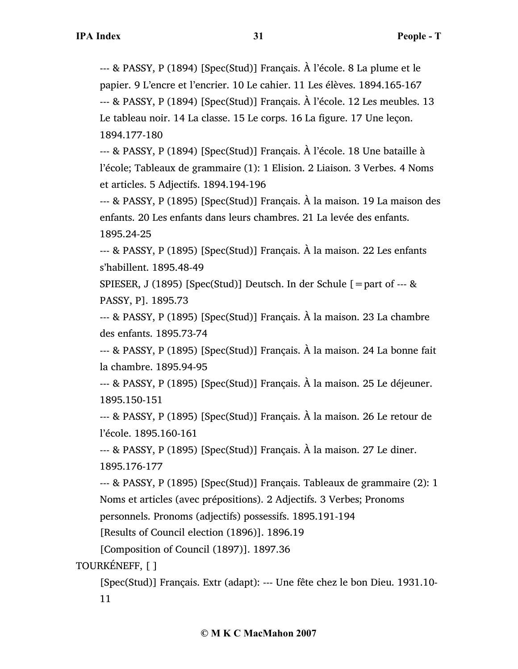--- & PASSY, P (1894) [Spec(Stud)] Français. À l'école. 8 La plume et le papier. 9 L'encre et l'encrier. 10 Le cahier. 11 Les élèves. 1894.165-167 --- & PASSY, P (1894) [Spec(Stud)] Français. À l'école. 12 Les meubles. 13 Le tableau noir. 14 La classe. 15 Le corps. 16 La figure. 17 Une leçon. 1894.177-180

--- & PASSY, P (1894) [Spec(Stud)] Français. À l'école. 18 Une bataille à l'école; Tableaux de grammaire (1): 1 Elision. 2 Liaison. 3 Verbes. 4 Noms et articles. 5 Adjectifs. 1894.194-196

--- & PASSY, P (1895) [Spec(Stud)] Français. À la maison. 19 La maison des enfants. 20 Les enfants dans leurs chambres. 21 La levée des enfants. 1895.24-25

--- & PASSY, P (1895) [Spec(Stud)] Français. À la maison. 22 Les enfants s'habillent. 1895.48-49

SPIESER, J (1895) [Spec(Stud)] Deutsch. In der Schule  $\lceil$  = part of --- & PASSY, P]. 1895.73

--- & PASSY, P (1895) [Spec(Stud)] Français. À la maison. 23 La chambre des enfants. 1895.73-74

--- & PASSY, P (1895) [Spec(Stud)] Français. À la maison. 24 La bonne fait la chambre. 1895.94-95

--- & PASSY, P (1895) [Spec(Stud)] Français. À la maison. 25 Le déjeuner. 1895.150-151

--- & PASSY, P (1895) [Spec(Stud)] Français. À la maison. 26 Le retour de l'école. 1895.160-161

--- & PASSY, P (1895) [Spec(Stud)] Français. À la maison. 27 Le diner. 1895.176-177

--- & PASSY, P (1895) [Spec(Stud)] Français. Tableaux de grammaire (2): 1 Noms et articles (avec prépositions). 2 Adjectifs. 3 Verbes; Pronoms personnels. Pronoms (adjectifs) possessifs. 1895.191-194

[Results of Council election (1896)]. 1896.19

[Composition of Council (1897)]. 1897.36

TOURKÉNEFF, [ ]

[Spec(Stud)] Français. Extr (adapt): --- Une fête chez le bon Dieu. 1931.10- 11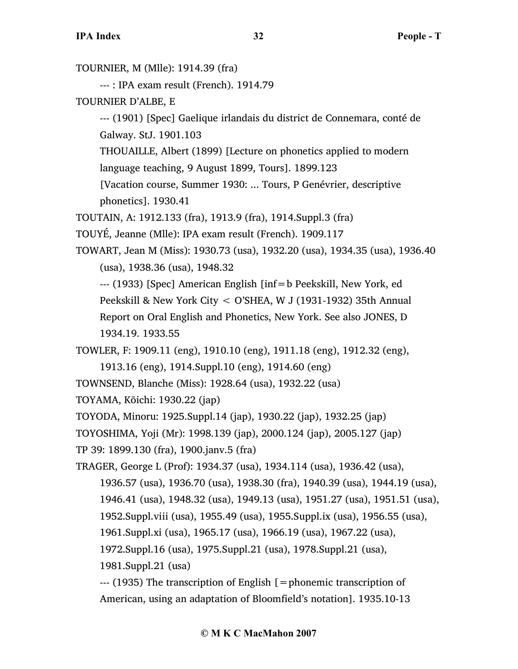TOURNIER, M (Mlle): 1914.39 (fra) --- : IPA exam result (French). 1914.79 TOURNIER D'ALBE, E --- (1901) [Spec] Gaelique irlandais du district de Connemara, conté de Galway. StJ. 1901.103 THOUAILLE, Albert (1899) [Lecture on phonetics applied to modern language teaching, 9 August 1899, Tours]. 1899.123 [Vacation course, Summer 1930: ... Tours, P Genévrier, descriptive phonetics]. 1930.41 TOUTAIN, A: 1912.133 (fra), 1913.9 (fra), 1914.Suppl.3 (fra) TOUYÉ, Jeanne (Mlle): IPA exam result (French). 1909.117 TOWART, Jean M (Miss): 1930.73 (usa), 1932.20 (usa), 1934.35 (usa), 1936.40 (usa), 1938.36 (usa), 1948.32 --- (1933) [Spec] American English [inf=b Peekskill, New York, ed Peekskill & New York City < O'SHEA, W J (1931-1932) 35th Annual Report on Oral English and Phonetics, New York. See also JONES, D 1934.19. 1933.55 TOWLER, F: 1909.11 (eng), 1910.10 (eng), 1911.18 (eng), 1912.32 (eng), 1913.16 (eng), 1914.Suppl.10 (eng), 1914.60 (eng) TOWNSEND, Blanche (Miss): 1928.64 (usa), 1932.22 (usa) TOYAMA, Kōichi: 1930.22 (jap) TOYODA, Minoru: 1925.Suppl.14 (jap), 1930.22 (jap), 1932.25 (jap) TOYOSHIMA, Yoji (Mr): 1998.139 (jap), 2000.124 (jap), 2005.127 (jap) TP 39: 1899.130 (fra), 1900.janv.5 (fra) TRAGER, George L (Prof): 1934.37 (usa), 1934.114 (usa), 1936.42 (usa), 1936.57 (usa), 1936.70 (usa), 1938.30 (fra), 1940.39 (usa), 1944.19 (usa), 1946.41 (usa), 1948.32 (usa), 1949.13 (usa), 1951.27 (usa), 1951.51 (usa), 1952.Suppl.viii (usa), 1955.49 (usa), 1955.Suppl.ix (usa), 1956.55 (usa), 1961.Suppl.xi (usa), 1965.17 (usa), 1966.19 (usa), 1967.22 (usa), 1972.Suppl.16 (usa), 1975.Suppl.21 (usa), 1978.Suppl.21 (usa), 1981.Suppl.21 (usa) --- (1935) The transcription of English [=phonemic transcription of American, using an adaptation of Bloomfield's notation]. 1935.10-13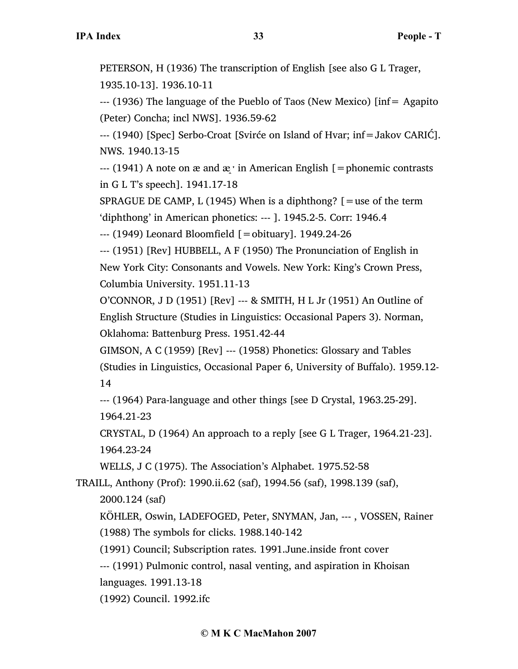PETERSON, H (1936) The transcription of English [see also G L Trager, 1935.10-13]. 1936.10-11

--- (1936) The language of the Pueblo of Taos (New Mexico) [inf= Agapito (Peter) Concha; incl NWS]. 1936.59-62

--- (1940) [Spec] Serbo-Croat [Svirće on Island of Hvar; inf=Jakov CARIĆ]. NWS. 1940.13-15

--- (1941) A note on  $\alpha$  and  $\alpha$  in American English [=phonemic contrasts in G L T's speech]. 1941.17-18

SPRAGUE DE CAMP, L (1945) When is a diphthong?  $[=$ use of the term 'diphthong' in American phonetics: --- ]. 1945.2-5. Corr: 1946.4

 $-$ -- $(1949)$  Leonard Bloomfield  $[$  = obituary]. 1949.24-26

--- (1951) [Rev] HUBBELL, A F (1950) The Pronunciation of English in New York City: Consonants and Vowels. New York: King's Crown Press, Columbia University. 1951.11-13

O'CONNOR, J D (1951) [Rev] --- & SMITH, H L Jr (1951) An Outline of English Structure (Studies in Linguistics: Occasional Papers 3). Norman, Oklahoma: Battenburg Press. 1951.42-44

GIMSON, A C (1959) [Rev] --- (1958) Phonetics: Glossary and Tables (Studies in Linguistics, Occasional Paper 6, University of Buffalo). 1959.12- 14

--- (1964) Para-language and other things [see D Crystal, 1963.25-29]. 1964.21-23

CRYSTAL, D (1964) An approach to a reply [see G L Trager, 1964.21-23]. 1964.23-24

WELLS, J C (1975). The Association's Alphabet. 1975.52-58

TRAILL, Anthony (Prof): 1990.ii.62 (saf), 1994.56 (saf), 1998.139 (saf), 2000.124 (saf)

KÖHLER, Oswin, LADEFOGED, Peter, SNYMAN, Jan, --- , VOSSEN, Rainer (1988) The symbols for clicks. 1988.140-142

(1991) Council; Subscription rates. 1991.June.inside front cover

--- (1991) Pulmonic control, nasal venting, and aspiration in Khoisan

languages. 1991.13-18

(1992) Council. 1992.ifc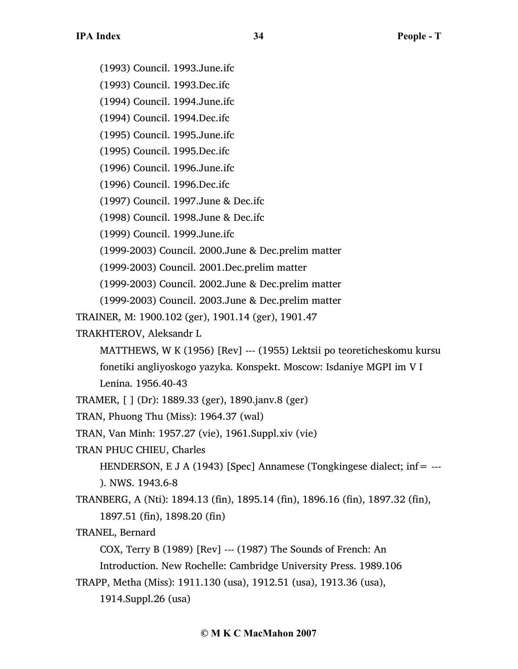(1993) Council. 1993.June.ifc

(1993) Council. 1993.Dec.ifc

(1994) Council. 1994.June.ifc

(1994) Council. 1994.Dec.ifc

(1995) Council. 1995.June.ifc

(1995) Council. 1995.Dec.ifc

(1996) Council. 1996.June.ifc

(1996) Council. 1996.Dec.ifc

(1997) Council. 1997.June & Dec.ifc

(1998) Council. 1998.June & Dec.ifc

(1999) Council. 1999.June.ifc

(1999-2003) Council. 2000.June & Dec.prelim matter

(1999-2003) Council. 2001.Dec.prelim matter

(1999-2003) Council. 2002.June & Dec.prelim matter

(1999-2003) Council. 2003.June & Dec.prelim matter

TRAINER, M: 1900.102 (ger), 1901.14 (ger), 1901.47

TRAKHTEROV, Aleksandr L

MATTHEWS, W K (1956) [Rev] --- (1955) Lektsii po teoreticheskomu kursu fonetiki angliyoskogo yazyka. Konspekt. Moscow: Isdaniye MGPI im V I

Lenina. 1956.40-43

TRAMER, [ ] (Dr): 1889.33 (ger), 1890.janv.8 (ger)

TRAN, Phuong Thu (Miss): 1964.37 (wal)

TRAN, Van Minh: 1957.27 (vie), 1961.Suppl.xiv (vie)

TRAN PHUC CHIEU, Charles

HENDERSON, E J A (1943) [Spec] Annamese (Tongkingese dialect; inf = ---). NWS. 1943.6-8

TRANBERG, A (Nti): 1894.13 (fin), 1895.14 (fin), 1896.16 (fin), 1897.32 (fin), 1897.51 (fin), 1898.20 (fin)

TRANEL, Bernard

COX, Terry B (1989) [Rev] --- (1987) The Sounds of French: An

Introduction. New Rochelle: Cambridge University Press. 1989.106

TRAPP, Metha (Miss): 1911.130 (usa), 1912.51 (usa), 1913.36 (usa),

1914.Suppl.26 (usa)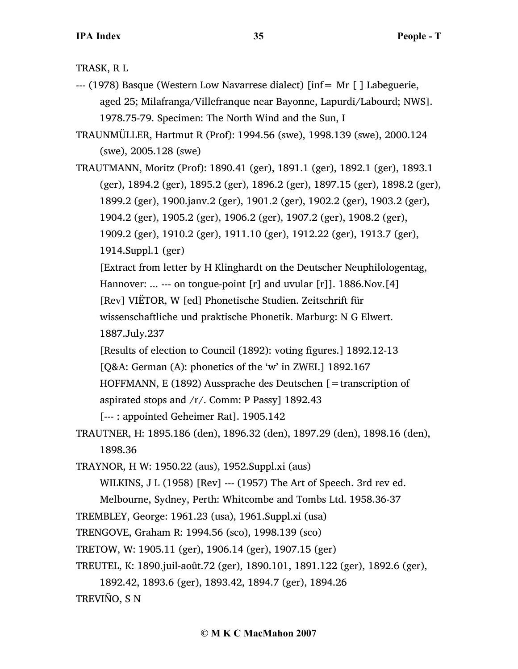TRASK, R L

- --- (1978) Basque (Western Low Navarrese dialect) [inf= Mr [ ] Labeguerie, aged 25; Milafranga/Villefranque near Bayonne, Lapurdi/Labourd; NWS]. 1978.75-79. Specimen: The North Wind and the Sun, I
- TRAUNMÜLLER, Hartmut R (Prof): 1994.56 (swe), 1998.139 (swe), 2000.124 (swe), 2005.128 (swe)

TRAUTMANN, Moritz (Prof): 1890.41 (ger), 1891.1 (ger), 1892.1 (ger), 1893.1 (ger), 1894.2 (ger), 1895.2 (ger), 1896.2 (ger), 1897.15 (ger), 1898.2 (ger), 1899.2 (ger), 1900.janv.2 (ger), 1901.2 (ger), 1902.2 (ger), 1903.2 (ger), 1904.2 (ger), 1905.2 (ger), 1906.2 (ger), 1907.2 (ger), 1908.2 (ger), 1909.2 (ger), 1910.2 (ger), 1911.10 (ger), 1912.22 (ger), 1913.7 (ger), 1914.Suppl.1 (ger)

[Extract from letter by H Klinghardt on the Deutscher Neuphilologentag, Hannover: ... --- on tongue-point  $[r]$  and uvular  $[r]$ ]. 1886.Nov. [4] [Rev] VIËTOR, W [ed] Phonetische Studien. Zeitschrift für

wissenschaftliche und praktische Phonetik. Marburg: N G Elwert.

1887.July.237

[Results of election to Council (1892): voting figures.] 1892.12-13

[Q&A: German (A): phonetics of the 'w' in ZWEI.] 1892.167

HOFFMANN, E (1892) Aussprache des Deutschen [=transcription of

aspirated stops and /r/. Comm: P Passy] 1892.43

[--- : appointed Geheimer Rat]. 1905.142

TRAUTNER, H: 1895.186 (den), 1896.32 (den), 1897.29 (den), 1898.16 (den), 1898.36

TRAYNOR, H W: 1950.22 (aus), 1952.Suppl.xi (aus)

WILKINS, J L (1958) [Rev] --- (1957) The Art of Speech. 3rd rev ed.

Melbourne, Sydney, Perth: Whitcombe and Tombs Ltd. 1958.36-37

TREMBLEY, George: 1961.23 (usa), 1961.Suppl.xi (usa)

TRENGOVE, Graham R: 1994.56 (sco), 1998.139 (sco)

TRETOW, W: 1905.11 (ger), 1906.14 (ger), 1907.15 (ger)

TREUTEL, K: 1890.juil-août.72 (ger), 1890.101, 1891.122 (ger), 1892.6 (ger),

1892.42, 1893.6 (ger), 1893.42, 1894.7 (ger), 1894.26

TREVIÑO, S N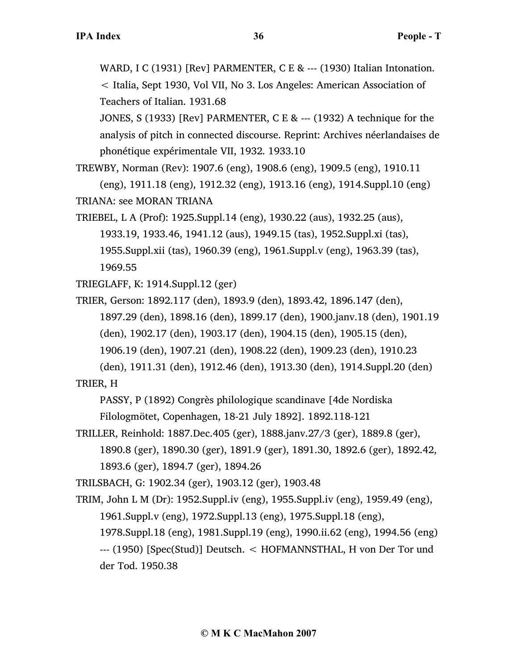WARD, I C (1931) [Rev] PARMENTER, C E & --- (1930) Italian Intonation. < Italia, Sept 1930, Vol VII, No 3. Los Angeles: American Association of Teachers of Italian. 1931.68

JONES, S (1933) [Rev] PARMENTER, C E & --- (1932) A technique for the analysis of pitch in connected discourse. Reprint: Archives néerlandaises de phonétique expérimentale VII, 1932. 1933.10

TREWBY, Norman (Rev): 1907.6 (eng), 1908.6 (eng), 1909.5 (eng), 1910.11

(eng), 1911.18 (eng), 1912.32 (eng), 1913.16 (eng), 1914.Suppl.10 (eng) TRIANA: see MORAN TRIANA

TRIEBEL, L A (Prof): 1925.Suppl.14 (eng), 1930.22 (aus), 1932.25 (aus), 1933.19, 1933.46, 1941.12 (aus), 1949.15 (tas), 1952.Suppl.xi (tas), 1955.Suppl.xii (tas), 1960.39 (eng), 1961.Suppl.v (eng), 1963.39 (tas), 1969.55

TRIEGLAFF, K: 1914.Suppl.12 (ger)

TRIER, Gerson: 1892.117 (den), 1893.9 (den), 1893.42, 1896.147 (den), 1897.29 (den), 1898.16 (den), 1899.17 (den), 1900.janv.18 (den), 1901.19 (den), 1902.17 (den), 1903.17 (den), 1904.15 (den), 1905.15 (den), 1906.19 (den), 1907.21 (den), 1908.22 (den), 1909.23 (den), 1910.23

(den), 1911.31 (den), 1912.46 (den), 1913.30 (den), 1914.Suppl.20 (den) TRIER, H

PASSY, P (1892) Congrès philologique scandinave [4de Nordiska

Filologmötet, Copenhagen, 18-21 July 1892]. 1892.118-121

TRILLER, Reinhold: 1887.Dec.405 (ger), 1888.janv.27/3 (ger), 1889.8 (ger), 1890.8 (ger), 1890.30 (ger), 1891.9 (ger), 1891.30, 1892.6 (ger), 1892.42, 1893.6 (ger), 1894.7 (ger), 1894.26

TRILSBACH, G: 1902.34 (ger), 1903.12 (ger), 1903.48

TRIM, John L M (Dr): 1952.Suppl.iv (eng), 1955.Suppl.iv (eng), 1959.49 (eng), 1961.Suppl.v (eng), 1972.Suppl.13 (eng), 1975.Suppl.18 (eng), 1978.Suppl.18 (eng), 1981.Suppl.19 (eng), 1990.ii.62 (eng), 1994.56 (eng) --- (1950) [Spec(Stud)] Deutsch. < HOFMANNSTHAL, H von Der Tor und der Tod. 1950.38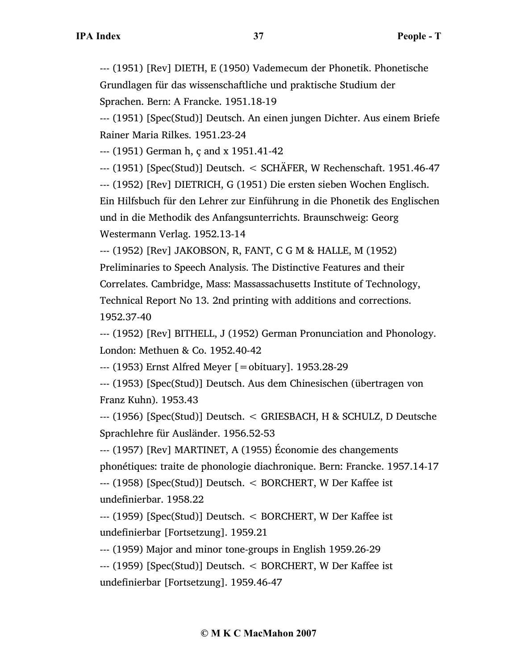--- (1951) [Rev] DIETH, E (1950) Vademecum der Phonetik. Phonetische Grundlagen für das wissenschaftliche und praktische Studium der Sprachen. Bern: A Francke. 1951.18-19

--- (1951) [Spec(Stud)] Deutsch. An einen jungen Dichter. Aus einem Briefe Rainer Maria Rilkes. 1951.23-24

--- (1951) German h, ç and x 1951.41-42

--- (1951) [Spec(Stud)] Deutsch. < SCHÄFER, W Rechenschaft. 1951.46-47

--- (1952) [Rev] DIETRICH, G (1951) Die ersten sieben Wochen Englisch. Ein Hilfsbuch für den Lehrer zur Einführung in die Phonetik des Englischen und in die Methodik des Anfangsunterrichts. Braunschweig: Georg

Westermann Verlag. 1952.13-14

--- (1952) [Rev] JAKOBSON, R, FANT, C G M & HALLE, M (1952) Preliminaries to Speech Analysis. The Distinctive Features and their Correlates. Cambridge, Mass: Massassachusetts Institute of Technology, Technical Report No 13. 2nd printing with additions and corrections. 1952.37-40

--- (1952) [Rev] BITHELL, J (1952) German Pronunciation and Phonology. London: Methuen & Co. 1952.40-42

--- (1953) Ernst Alfred Meyer [=obituary]. 1953.28-29

--- (1953) [Spec(Stud)] Deutsch. Aus dem Chinesischen (übertragen von Franz Kuhn). 1953.43

--- (1956) [Spec(Stud)] Deutsch. < GRIESBACH, H & SCHULZ, D Deutsche Sprachlehre für Ausländer. 1956.52-53

--- (1957) [Rev] MARTINET, A (1955) Économie des changements phonétiques: traite de phonologie diachronique. Bern: Francke. 1957.14-17

--- (1958) [Spec(Stud)] Deutsch. < BORCHERT, W Der Kaffee ist undefinierbar. 1958.22

--- (1959) [Spec(Stud)] Deutsch. < BORCHERT, W Der Kaffee ist undefinierbar [Fortsetzung]. 1959.21

--- (1959) Major and minor tone-groups in English 1959.26-29

--- (1959) [Spec(Stud)] Deutsch. < BORCHERT, W Der Kaffee ist undefinierbar [Fortsetzung]. 1959.46-47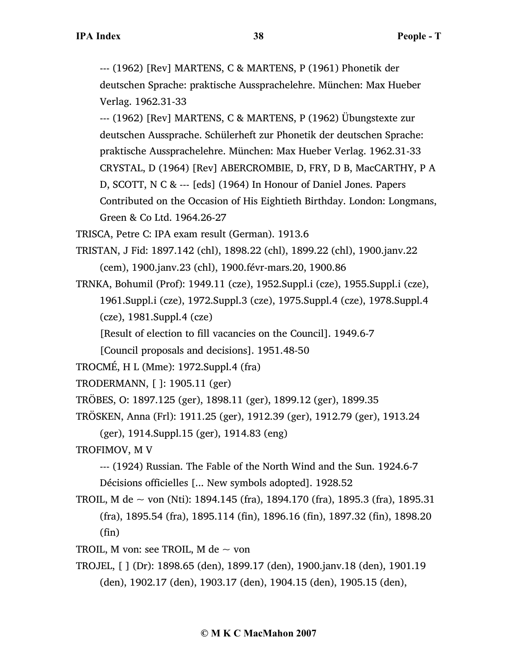--- (1962) [Rev] MARTENS, C & MARTENS, P (1961) Phonetik der deutschen Sprache: praktische Aussprachelehre. München: Max Hueber Verlag. 1962.31-33

--- (1962) [Rev] MARTENS, C & MARTENS, P (1962) Übungstexte zur deutschen Aussprache. Schülerheft zur Phonetik der deutschen Sprache: praktische Aussprachelehre. München: Max Hueber Verlag. 1962.31-33 CRYSTAL, D (1964) [Rev] ABERCROMBIE, D, FRY, D B, MacCARTHY, P A D, SCOTT, N C & --- [eds] (1964) In Honour of Daniel Jones. Papers Contributed on the Occasion of His Eightieth Birthday. London: Longmans, Green & Co Ltd. 1964.26-27

TRISCA, Petre C: IPA exam result (German). 1913.6

- TRISTAN, J Fid: 1897.142 (chl), 1898.22 (chl), 1899.22 (chl), 1900.janv.22 (cem), 1900.janv.23 (chl), 1900.févr-mars.20, 1900.86
- TRNKA, Bohumil (Prof): 1949.11 (cze), 1952.Suppl.i (cze), 1955.Suppl.i (cze), 1961.Suppl.i (cze), 1972.Suppl.3 (cze), 1975.Suppl.4 (cze), 1978.Suppl.4 (cze), 1981.Suppl.4 (cze)

[Result of election to fill vacancies on the Council]. 1949.6-7

[Council proposals and decisions]. 1951.48-50

TROCMÉ, H L (Mme): 1972.Suppl.4 (fra)

TRODERMANN, [ ]: 1905.11 (ger)

TRÖBES, O: 1897.125 (ger), 1898.11 (ger), 1899.12 (ger), 1899.35

TRÖSKEN, Anna (Frl): 1911.25 (ger), 1912.39 (ger), 1912.79 (ger), 1913.24

(ger), 1914.Suppl.15 (ger), 1914.83 (eng)

TROFIMOV, M V

```
--- (1924) Russian. The Fable of the North Wind and the Sun. 1924.6-7
```
Décisions officielles [... New symbols adopted]. 1928.52

TROIL, M de ~ von (Nti): 1894.145 (fra), 1894.170 (fra), 1895.3 (fra), 1895.31 (fra), 1895.54 (fra), 1895.114 (fin), 1896.16 (fin), 1897.32 (fin), 1898.20 (fin)

TROIL, M von: see TROIL, M de  $\sim$  von

TROJEL, [ ] (Dr): 1898.65 (den), 1899.17 (den), 1900.janv.18 (den), 1901.19 (den), 1902.17 (den), 1903.17 (den), 1904.15 (den), 1905.15 (den),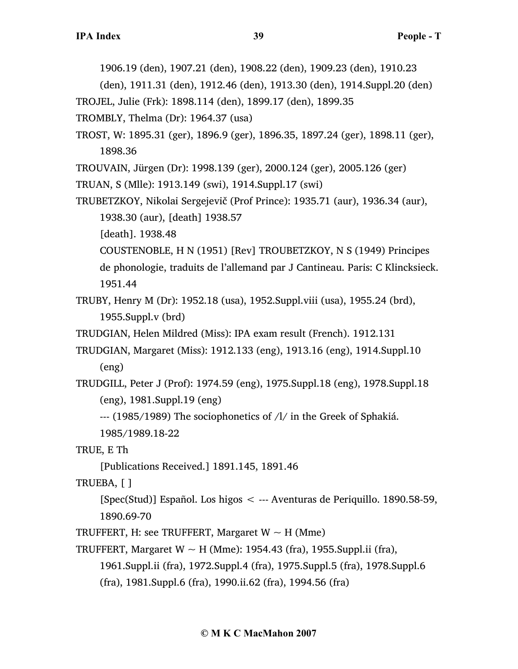1906.19 (den), 1907.21 (den), 1908.22 (den), 1909.23 (den), 1910.23

(den), 1911.31 (den), 1912.46 (den), 1913.30 (den), 1914.Suppl.20 (den)

TROJEL, Julie (Frk): 1898.114 (den), 1899.17 (den), 1899.35

TROMBLY, Thelma (Dr): 1964.37 (usa)

TROST, W: 1895.31 (ger), 1896.9 (ger), 1896.35, 1897.24 (ger), 1898.11 (ger), 1898.36

TROUVAIN, Jürgen (Dr): 1998.139 (ger), 2000.124 (ger), 2005.126 (ger)

TRUAN, S (Mlle): 1913.149 (swi), 1914.Suppl.17 (swi)

TRUBETZKOY, Nikolai Sergejevič (Prof Prince): 1935.71 (aur), 1936.34 (aur), 1938.30 (aur), [death] 1938.57

[death]. 1938.48

COUSTENOBLE, H N (1951) [Rev] TROUBETZKOY, N S (1949) Principes

de phonologie, traduits de l'allemand par J Cantineau. Paris: C Klincksieck. 1951.44

TRUBY, Henry M (Dr): 1952.18 (usa), 1952.Suppl.viii (usa), 1955.24 (brd), 1955.Suppl.v (brd)

TRUDGIAN, Helen Mildred (Miss): IPA exam result (French). 1912.131

TRUDGIAN, Margaret (Miss): 1912.133 (eng), 1913.16 (eng), 1914.Suppl.10 (eng)

TRUDGILL, Peter J (Prof): 1974.59 (eng), 1975.Suppl.18 (eng), 1978.Suppl.18 (eng), 1981.Suppl.19 (eng)

--- (1985/1989) The sociophonetics of /l/ in the Greek of Sphakiá.

1985/1989.18-22

TRUE, E Th

[Publications Received.] 1891.145, 1891.46

TRUEBA, [ ]

[Spec(Stud)] Español. Los higos < --- Aventuras de Periquillo. 1890.58-59, 1890.69-70

TRUFFERT, H: see TRUFFERT, Margaret  $W \sim H$  (Mme)

TRUFFERT, Margaret W  $\sim$  H (Mme): 1954.43 (fra), 1955. Suppl. ii (fra),

1961.Suppl.ii (fra), 1972.Suppl.4 (fra), 1975.Suppl.5 (fra), 1978.Suppl.6 (fra), 1981.Suppl.6 (fra), 1990.ii.62 (fra), 1994.56 (fra)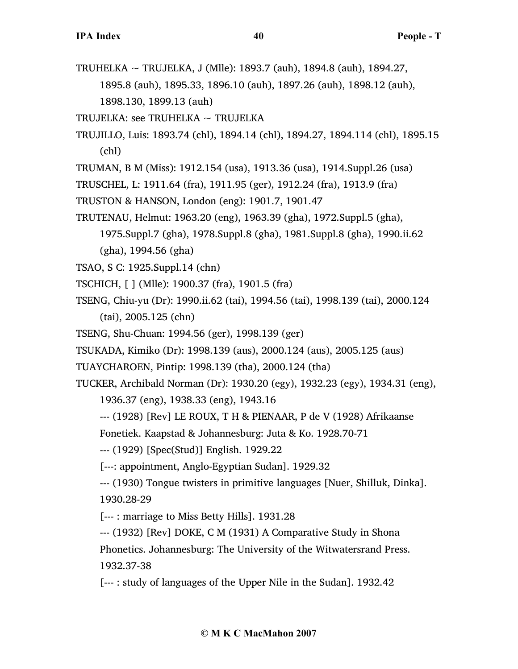TRUHELKA ~ TRUJELKA, J (Mlle): 1893.7 (auh), 1894.8 (auh), 1894.27, 1895.8 (auh), 1895.33, 1896.10 (auh), 1897.26 (auh), 1898.12 (auh), 1898.130, 1899.13 (auh)

TRUJELKA: see TRUHELKA ~ TRUJELKA

- TRUJILLO, Luis: 1893.74 (chl), 1894.14 (chl), 1894.27, 1894.114 (chl), 1895.15 (chl)
- TRUMAN, B M (Miss): 1912.154 (usa), 1913.36 (usa), 1914.Suppl.26 (usa)
- TRUSCHEL, L: 1911.64 (fra), 1911.95 (ger), 1912.24 (fra), 1913.9 (fra)
- TRUSTON & HANSON, London (eng): 1901.7, 1901.47
- TRUTENAU, Helmut: 1963.20 (eng), 1963.39 (gha), 1972.Suppl.5 (gha),

1975.Suppl.7 (gha), 1978.Suppl.8 (gha), 1981.Suppl.8 (gha), 1990.ii.62 (gha), 1994.56 (gha)

- TSAO, S C: 1925.Suppl.14 (chn)
- TSCHICH, [ ] (Mlle): 1900.37 (fra), 1901.5 (fra)
- TSENG, Chiu-yu (Dr): 1990.ii.62 (tai), 1994.56 (tai), 1998.139 (tai), 2000.124 (tai), 2005.125 (chn)
- TSENG, Shu-Chuan: 1994.56 (ger), 1998.139 (ger)
- TSUKADA, Kimiko (Dr): 1998.139 (aus), 2000.124 (aus), 2005.125 (aus)
- TUAYCHAROEN, Pintip: 1998.139 (tha), 2000.124 (tha)

TUCKER, Archibald Norman (Dr): 1930.20 (egy), 1932.23 (egy), 1934.31 (eng),

1936.37 (eng), 1938.33 (eng), 1943.16

--- (1928) [Rev] LE ROUX, T H & PIENAAR, P de V (1928) Afrikaanse

Fonetiek. Kaapstad & Johannesburg: Juta & Ko. 1928.70-71

--- (1929) [Spec(Stud)] English. 1929.22

[---: appointment, Anglo-Egyptian Sudan]. 1929.32

--- (1930) Tongue twisters in primitive languages [Nuer, Shilluk, Dinka]. 1930.28-29

[--- : marriage to Miss Betty Hills]. 1931.28

--- (1932) [Rev] DOKE, C M (1931) A Comparative Study in Shona Phonetics. Johannesburg: The University of the Witwatersrand Press. 1932.37-38

[--- : study of languages of the Upper Nile in the Sudan]. 1932.42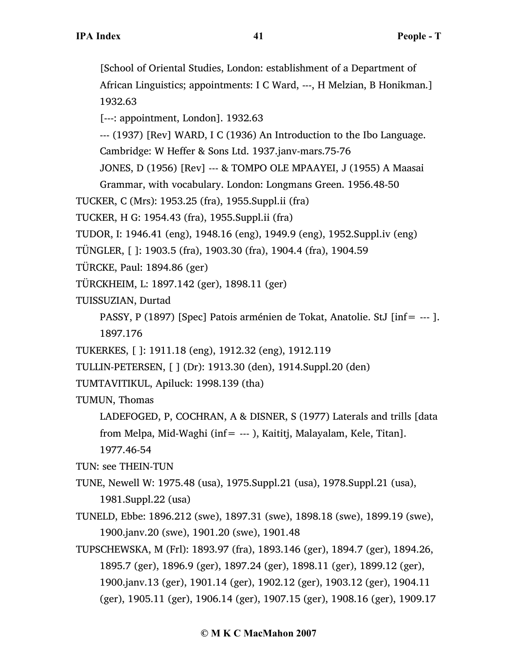[School of Oriental Studies, London: establishment of a Department of African Linguistics; appointments: I C Ward, ---, H Melzian, B Honikman.] 1932.63

[---: appointment, London]. 1932.63

--- (1937) [Rev] WARD, I C (1936) An Introduction to the Ibo Language.

Cambridge: W Heffer & Sons Ltd. 1937.janv-mars.75-76

JONES, D (1956) [Rev] --- & TOMPO OLE MPAAYEI, J (1955) A Maasai

Grammar, with vocabulary. London: Longmans Green. 1956.48-50

TUCKER, C (Mrs): 1953.25 (fra), 1955.Suppl.ii (fra)

TUCKER, H G: 1954.43 (fra), 1955.Suppl.ii (fra)

TUDOR, I: 1946.41 (eng), 1948.16 (eng), 1949.9 (eng), 1952.Suppl.iv (eng)

TÜNGLER, [ ]: 1903.5 (fra), 1903.30 (fra), 1904.4 (fra), 1904.59

TÜRCKE, Paul: 1894.86 (ger)

TÜRCKHEIM, L: 1897.142 (ger), 1898.11 (ger)

TUISSUZIAN, Durtad

PASSY, P (1897) [Spec] Patois arménien de Tokat, Anatolie. StJ [inf= --- ]. 1897.176

TUKERKES, [ ]: 1911.18 (eng), 1912.32 (eng), 1912.119

TULLIN-PETERSEN, [ ] (Dr): 1913.30 (den), 1914.Suppl.20 (den)

TUMTAVITIKUL, Apiluck: 1998.139 (tha)

TUMUN, Thomas

LADEFOGED, P, COCHRAN, A & DISNER, S (1977) Laterals and trills [data from Melpa, Mid-Waghi (inf= --- ), Kaititj, Malayalam, Kele, Titan]. 1977.46-54

TUN: see THEIN-TUN

TUNE, Newell W: 1975.48 (usa), 1975.Suppl.21 (usa), 1978.Suppl.21 (usa), 1981.Suppl.22 (usa)

- TUNELD, Ebbe: 1896.212 (swe), 1897.31 (swe), 1898.18 (swe), 1899.19 (swe), 1900.janv.20 (swe), 1901.20 (swe), 1901.48
- TUPSCHEWSKA, M (Frl): 1893.97 (fra), 1893.146 (ger), 1894.7 (ger), 1894.26, 1895.7 (ger), 1896.9 (ger), 1897.24 (ger), 1898.11 (ger), 1899.12 (ger), 1900.janv.13 (ger), 1901.14 (ger), 1902.12 (ger), 1903.12 (ger), 1904.11 (ger), 1905.11 (ger), 1906.14 (ger), 1907.15 (ger), 1908.16 (ger), 1909.17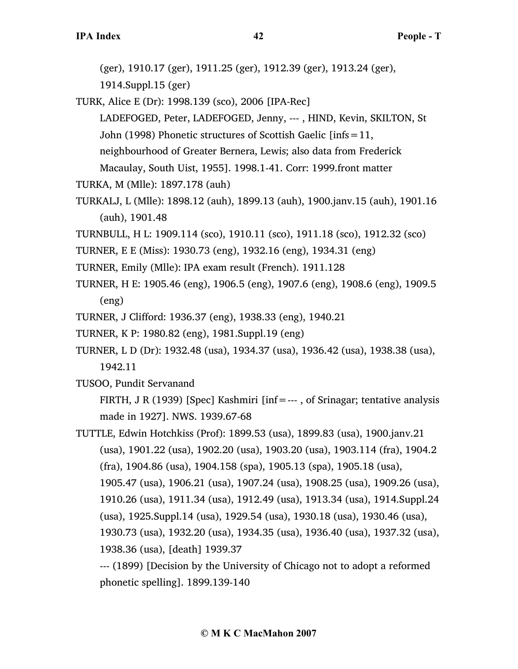(ger), 1910.17 (ger), 1911.25 (ger), 1912.39 (ger), 1913.24 (ger),

1914.Suppl.15 (ger)

TURK, Alice E (Dr): 1998.139 (sco), 2006 [IPA-Rec]

LADEFOGED, Peter, LADEFOGED, Jenny, --- , HIND, Kevin, SKILTON, St John (1998) Phonetic structures of Scottish Gaelic [infs=11,

neighbourhood of Greater Bernera, Lewis; also data from Frederick Macaulay, South Uist, 1955]. 1998.1-41. Corr: 1999.front matter

TURKA, M (Mlle): 1897.178 (auh)

- TURKALJ, L (Mlle): 1898.12 (auh), 1899.13 (auh), 1900.janv.15 (auh), 1901.16 (auh), 1901.48
- TURNBULL, H L: 1909.114 (sco), 1910.11 (sco), 1911.18 (sco), 1912.32 (sco)

TURNER, E E (Miss): 1930.73 (eng), 1932.16 (eng), 1934.31 (eng)

- TURNER, Emily (Mlle): IPA exam result (French). 1911.128
- TURNER, H E: 1905.46 (eng), 1906.5 (eng), 1907.6 (eng), 1908.6 (eng), 1909.5 (eng)
- TURNER, J Clifford: 1936.37 (eng), 1938.33 (eng), 1940.21
- TURNER, K P: 1980.82 (eng), 1981.Suppl.19 (eng)
- TURNER, L D (Dr): 1932.48 (usa), 1934.37 (usa), 1936.42 (usa), 1938.38 (usa), 1942.11

TUSOO, Pundit Servanand

FIRTH, J R (1939) [Spec] Kashmiri [inf=---, of Srinagar; tentative analysis made in 1927]. NWS. 1939.67-68

TUTTLE, Edwin Hotchkiss (Prof): 1899.53 (usa), 1899.83 (usa), 1900.janv.21 (usa), 1901.22 (usa), 1902.20 (usa), 1903.20 (usa), 1903.114 (fra), 1904.2 (fra), 1904.86 (usa), 1904.158 (spa), 1905.13 (spa), 1905.18 (usa), 1905.47 (usa), 1906.21 (usa), 1907.24 (usa), 1908.25 (usa), 1909.26 (usa), 1910.26 (usa), 1911.34 (usa), 1912.49 (usa), 1913.34 (usa), 1914.Suppl.24 (usa), 1925.Suppl.14 (usa), 1929.54 (usa), 1930.18 (usa), 1930.46 (usa), 1930.73 (usa), 1932.20 (usa), 1934.35 (usa), 1936.40 (usa), 1937.32 (usa), 1938.36 (usa), [death] 1939.37

--- (1899) [Decision by the University of Chicago not to adopt a reformed phonetic spelling]. 1899.139-140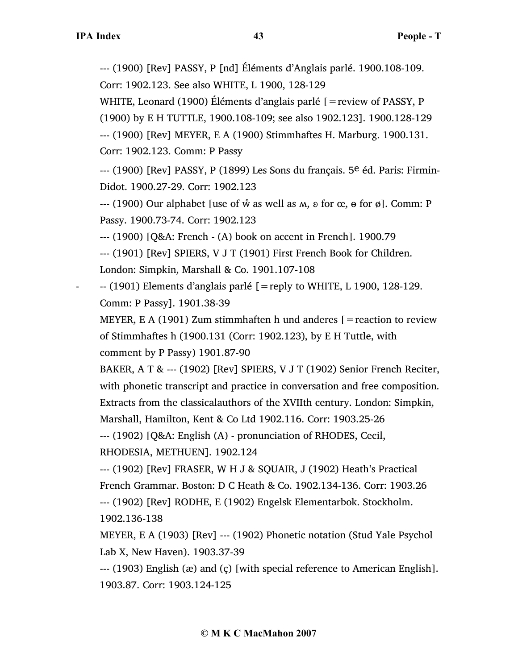--- (1900) [Rev] PASSY, P [nd] Éléments d'Anglais parlé. 1900.108-109.

Corr: 1902.123. See also WHITE, L 1900, 128-129

WHITE, Leonard (1900) Éléments d'anglais parlé [=review of PASSY, P

(1900) by E H TUTTLE, 1900.108-109; see also 1902.123]. 1900.128-129

--- (1900) [Rev] MEYER, E A (1900) Stimmhaftes H. Marburg. 1900.131. Corr: 1902.123. Comm: P Passy

--- (1900) [Rev] PASSY, P (1899) Les Sons du français. 5<sup>e</sup> éd. Paris: Firmin-Didot. 1900.27-29. Corr: 1902.123

 $-(-1900)$  Our alphabet [use of  $\hat{w}$  as well as  $M$ ,  $\hat{v}$  for  $\hat{\alpha}$ ,  $\theta$  for  $\hat{\phi}$ ]. Comm: P Passy. 1900.73-74. Corr: 1902.123

--- (1900) [Q&A: French - (A) book on accent in French]. 1900.79

--- (1901) [Rev] SPIERS, V J T (1901) First French Book for Children. London: Simpkin, Marshall & Co. 1901.107-108

 $-$  (1901) Elements d'anglais parlé  $[$  = reply to WHITE, L 1900, 128-129. Comm: P Passy]. 1901.38-39

MEYER, E A (1901) Zum stimmhaften h und anderes  $[$  = reaction to review of Stimmhaftes h (1900.131 (Corr: 1902.123), by E H Tuttle, with comment by P Passy) 1901.87-90

BAKER, A T & --- (1902) [Rev] SPIERS, V J T (1902) Senior French Reciter, with phonetic transcript and practice in conversation and free composition. Extracts from the classicalauthors of the XVIIth century. London: Simpkin, Marshall, Hamilton, Kent & Co Ltd 1902.116. Corr: 1903.25-26

--- (1902) [Q&A: English (A) - pronunciation of RHODES, Cecil,

RHODESIA, METHUEN]. 1902.124

--- (1902) [Rev] FRASER, W H J & SQUAIR, J (1902) Heath's Practical French Grammar. Boston: D C Heath & Co. 1902.134-136. Corr: 1903.26 --- (1902) [Rev] RODHE, E (1902) Engelsk Elementarbok. Stockholm. 1902.136-138

MEYER, E A (1903) [Rev] --- (1902) Phonetic notation (Stud Yale Psychol Lab X, New Haven). 1903.37-39

--- (1903) English (æ) and (ç) [with special reference to American English]. 1903.87. Corr: 1903.124-125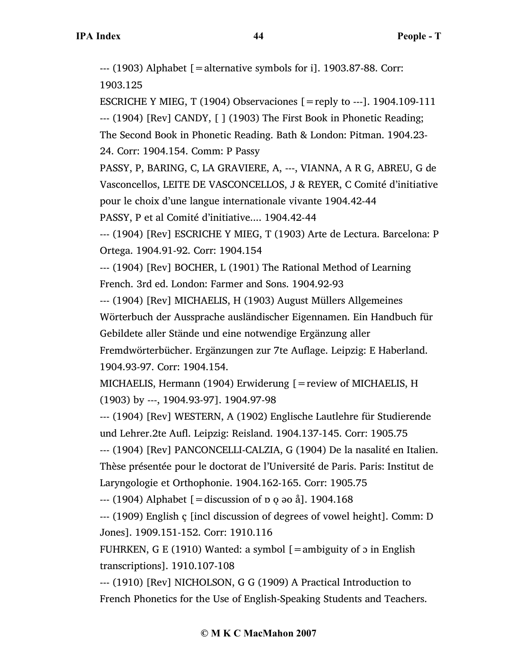$-$ --- (1903) Alphabet  $\lceil$  = alternative symbols for i]. 1903.87-88. Corr:

1903.125

ESCRICHE Y MIEG, T (1904) Observaciones  $[=$ reply to ---]. 1904.109-111 --- (1904) [Rev] CANDY, [ ] (1903) The First Book in Phonetic Reading; The Second Book in Phonetic Reading. Bath & London: Pitman. 1904.23- 24. Corr: 1904.154. Comm: P Passy

PASSY, P, BARING, C, LA GRAVIERE, A, ---, VIANNA, A R G, ABREU, G de Vasconcellos, LEITE DE VASCONCELLOS, J & REYER, C Comité d'initiative pour le choix d'une langue internationale vivante 1904.42-44

PASSY, P et al Comité d'initiative.... 1904.42-44

--- (1904) [Rev] ESCRICHE Y MIEG, T (1903) Arte de Lectura. Barcelona: P Ortega. 1904.91-92. Corr: 1904.154

--- (1904) [Rev] BOCHER, L (1901) The Rational Method of Learning French. 3rd ed. London: Farmer and Sons. 1904.92-93

--- (1904) [Rev] MICHAELIS, H (1903) August Müllers Allgemeines Wörterbuch der Aussprache ausländischer Eigennamen. Ein Handbuch für Gebildete aller Stände und eine notwendige Ergänzung aller

Fremdwörterbücher. Ergänzungen zur 7te Auflage. Leipzig: E Haberland. 1904.93-97. Corr: 1904.154.

MICHAELIS, Hermann (1904) Erwiderung  $[$  = review of MICHAELIS, H (1903) by ---, 1904.93-97]. 1904.97-98

--- (1904) [Rev] WESTERN, A (1902) Englische Lautlehre für Studierende und Lehrer.2te Aufl. Leipzig: Reisland. 1904.137-145. Corr: 1905.75

--- (1904) [Rev] PANCONCELLI-CALZIA, G (1904) De la nasalité en Italien. Thèse présentée pour le doctorat de l'Université de Paris. Paris: Institut de Laryngologie et Orthophonie. 1904.162-165. Corr: 1905.75

 $-$ --- (1904) Alphabet  $[$  = discussion of p o ao å]. 1904.168

--- (1909) English ç [incl discussion of degrees of vowel height]. Comm: D Jones]. 1909.151-152. Corr: 1910.116

FUHRKEN, G E (1910) Wanted: a symbol  $[=$ ambiguity of  $\sigma$  in English transcriptions]. 1910.107-108

--- (1910) [Rev] NICHOLSON, G G (1909) A Practical Introduction to French Phonetics for the Use of English-Speaking Students and Teachers.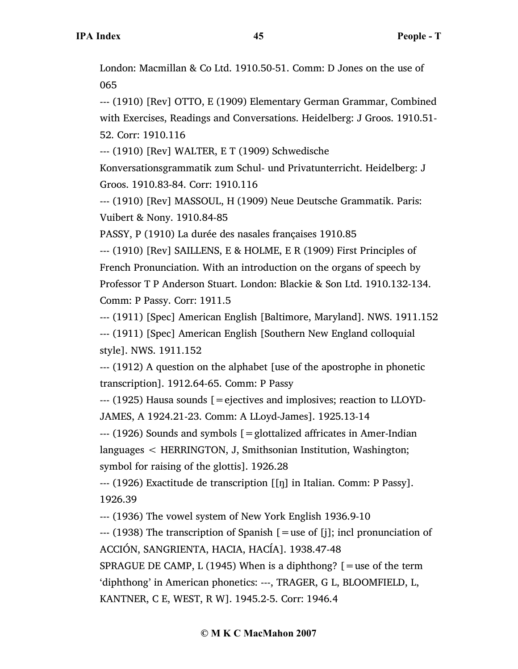London: Macmillan & Co Ltd. 1910.50-51. Comm: D Jones on the use of 065

--- (1910) [Rev] OTTO, E (1909) Elementary German Grammar, Combined with Exercises, Readings and Conversations. Heidelberg: J Groos. 1910.51- 52. Corr: 1910.116

--- (1910) [Rev] WALTER, E T (1909) Schwedische

Konversationsgrammatik zum Schul- und Privatunterricht. Heidelberg: J Groos. 1910.83-84. Corr: 1910.116

--- (1910) [Rev] MASSOUL, H (1909) Neue Deutsche Grammatik. Paris: Vuibert & Nony. 1910.84-85

PASSY, P (1910) La durée des nasales françaises 1910.85

--- (1910) [Rev] SAILLENS, E & HOLME, E R (1909) First Principles of French Pronunciation. With an introduction on the organs of speech by Professor T P Anderson Stuart. London: Blackie & Son Ltd. 1910.132-134. Comm: P Passy. Corr: 1911.5

--- (1911) [Spec] American English [Baltimore, Maryland]. NWS. 1911.152

--- (1911) [Spec] American English [Southern New England colloquial style]. NWS. 1911.152

--- (1912) A question on the alphabet [use of the apostrophe in phonetic transcription]. 1912.64-65. Comm: P Passy

--- (1925) Hausa sounds [=ejectives and implosives; reaction to LLOYD-JAMES, A 1924.21-23. Comm: A LLoyd-James]. 1925.13-14

--- (1926) Sounds and symbols [=glottalized affricates in Amer-Indian languages < HERRINGTON, J, Smithsonian Institution, Washington; symbol for raising of the glottis]. 1926.28

--- (1926) Exactitude de transcription [[ŋ] in Italian. Comm: P Passy]. 1926.39

--- (1936) The vowel system of New York English 1936.9-10

--- (1938) The transcription of Spanish [=use of [j]; incl pronunciation of ACCIÓN, SANGRIENTA, HACIA, HACÍA]. 1938.47-48

SPRAGUE DE CAMP, L (1945) When is a diphthong?  $[=$ use of the term 'diphthong' in American phonetics: ---, TRAGER, G L, BLOOMFIELD, L, KANTNER, C E, WEST, R W]. 1945.2-5. Corr: 1946.4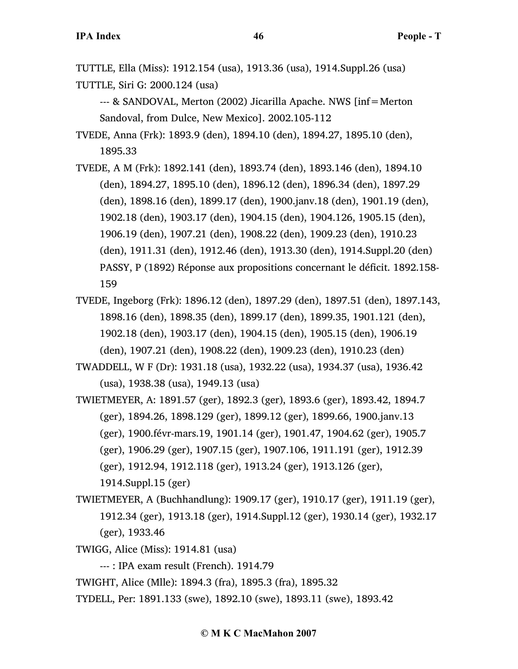TUTTLE, Ella (Miss): 1912.154 (usa), 1913.36 (usa), 1914.Suppl.26 (usa) TUTTLE, Siri G: 2000.124 (usa)

--- & SANDOVAL, Merton (2002) Jicarilla Apache. NWS [inf=Merton Sandoval, from Dulce, New Mexico]. 2002.105-112

TVEDE, Anna (Frk): 1893.9 (den), 1894.10 (den), 1894.27, 1895.10 (den), 1895.33

TVEDE, A M (Frk): 1892.141 (den), 1893.74 (den), 1893.146 (den), 1894.10 (den), 1894.27, 1895.10 (den), 1896.12 (den), 1896.34 (den), 1897.29 (den), 1898.16 (den), 1899.17 (den), 1900.janv.18 (den), 1901.19 (den), 1902.18 (den), 1903.17 (den), 1904.15 (den), 1904.126, 1905.15 (den), 1906.19 (den), 1907.21 (den), 1908.22 (den), 1909.23 (den), 1910.23 (den), 1911.31 (den), 1912.46 (den), 1913.30 (den), 1914.Suppl.20 (den) PASSY, P (1892) Réponse aux propositions concernant le déficit. 1892.158- 159

TVEDE, Ingeborg (Frk): 1896.12 (den), 1897.29 (den), 1897.51 (den), 1897.143, 1898.16 (den), 1898.35 (den), 1899.17 (den), 1899.35, 1901.121 (den), 1902.18 (den), 1903.17 (den), 1904.15 (den), 1905.15 (den), 1906.19 (den), 1907.21 (den), 1908.22 (den), 1909.23 (den), 1910.23 (den)

TWADDELL, W F (Dr): 1931.18 (usa), 1932.22 (usa), 1934.37 (usa), 1936.42 (usa), 1938.38 (usa), 1949.13 (usa)

TWIETMEYER, A: 1891.57 (ger), 1892.3 (ger), 1893.6 (ger), 1893.42, 1894.7 (ger), 1894.26, 1898.129 (ger), 1899.12 (ger), 1899.66, 1900.janv.13 (ger), 1900.févr-mars.19, 1901.14 (ger), 1901.47, 1904.62 (ger), 1905.7 (ger), 1906.29 (ger), 1907.15 (ger), 1907.106, 1911.191 (ger), 1912.39 (ger), 1912.94, 1912.118 (ger), 1913.24 (ger), 1913.126 (ger), 1914.Suppl.15 (ger)

TWIETMEYER, A (Buchhandlung): 1909.17 (ger), 1910.17 (ger), 1911.19 (ger), 1912.34 (ger), 1913.18 (ger), 1914.Suppl.12 (ger), 1930.14 (ger), 1932.17 (ger), 1933.46

TWIGG, Alice (Miss): 1914.81 (usa)

--- : IPA exam result (French). 1914.79

TWIGHT, Alice (Mlle): 1894.3 (fra), 1895.3 (fra), 1895.32

TYDELL, Per: 1891.133 (swe), 1892.10 (swe), 1893.11 (swe), 1893.42